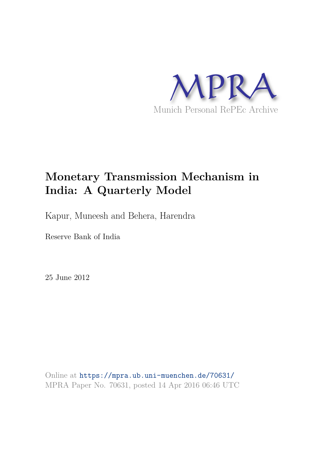

# **Monetary Transmission Mechanism in India: A Quarterly Model**

Kapur, Muneesh and Behera, Harendra

Reserve Bank of India

25 June 2012

Online at https://mpra.ub.uni-muenchen.de/70631/ MPRA Paper No. 70631, posted 14 Apr 2016 06:46 UTC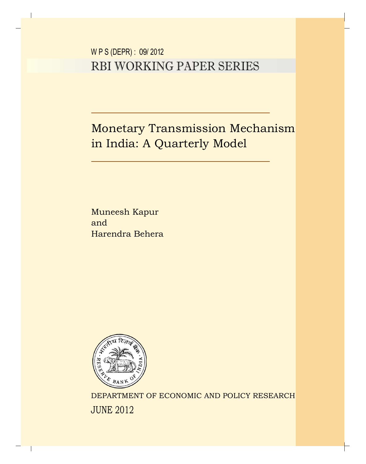W P S (DEPR) : 09/ 2012 RBI WORKING PAPER SERIES

Monetary Transmission Mechanism in India: A Quarterly Model

Muneesh Kapur and Harendra Behera



DEPARTMENT OF ECONOMIC AND POLICY RESEARCH JUNE 2012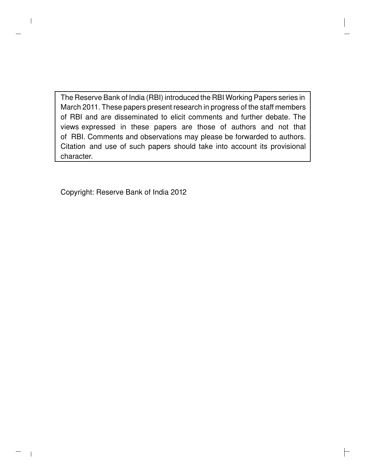The Reserve Bank of India (RBI) introduced the RBI Working Papers series in March 2011. These papers present research in progress of the staff members of RBI and are disseminated to elicit comments and further debate. The views expressed in these papers are those of authors and not that of RBI. Comments and observations may please be forwarded to authors. Citation and use of such papers should take into account its provisional character.

 $\Gamma$ 

Copyright: Reserve Bank of India 2012

 $\mathsf{l}$ 

 $\overline{\phantom{a}}$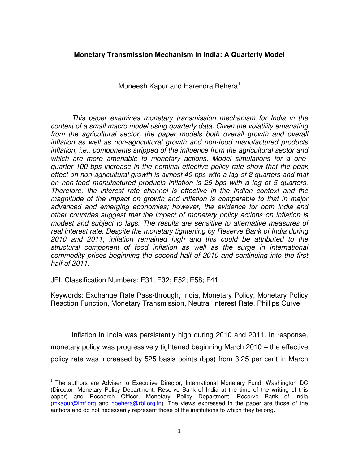## **Monetary Transmission Mechanism in India: A Quarterly Model**

Muneesh Kapur and Harendra Behera**<sup>1</sup>**

*This paper examines monetary transmission mechanism for India in the context of a small macro model using quarterly data. Given the volatility emanating from the agricultural sector, the paper models both overall growth and overall inflation as well as non-agricultural growth and non-food manufactured products inflation, i.e., components stripped of the influence from the agricultural sector and which are more amenable to monetary actions. Model simulations for a onequarter 100 bps increase in the nominal effective policy rate show that the peak effect on non-agricultural growth is almost 40 bps with a lag of 2 quarters and that on non-food manufactured products inflation is 25 bps with a lag of 5 quarters. Therefore, the interest rate channel is effective in the Indian context and the magnitude of the impact on growth and inflation is comparable to that in major advanced and emerging economies; however, the evidence for both India and other countries suggest that the impact of monetary policy actions on inflation is modest and subject to lags. The results are sensitive to alternative measures of real interest rate. Despite the monetary tightening by Reserve Bank of India during 2010 and 2011, inflation remained high and this could be attributed to the structural component of food inflation as well as the surge in international commodity prices beginning the second half of 2010 and continuing into the first half of 2011.* 

JEL Classification Numbers: E31; E32; E52; E58; F41

 $\overline{a}$ 

Keywords: Exchange Rate Pass-through, India, Monetary Policy, Monetary Policy Reaction Function, Monetary Transmission, Neutral Interest Rate, Phillips Curve.

Inflation in India was persistently high during 2010 and 2011. In response, monetary policy was progressively tightened beginning March 2010 – the effective policy rate was increased by 525 basis points (bps) from 3.25 per cent in March

<sup>&</sup>lt;sup>1</sup> The authors are Adviser to Executive Director, International Monetary Fund, Washington DC (Director, Monetary Policy Department, Reserve Bank of India at the time of the writing of this paper) and Research Officer, Monetary Policy Department, Reserve Bank of India [\(mkapur@imf.org](mailto:mkapur@imf.org) and [hbehera@rbi.org.in\)](mailto:hbehera@rbi.org.in). The views expressed in the paper are those of the authors and do not necessarily represent those of the institutions to which they belong.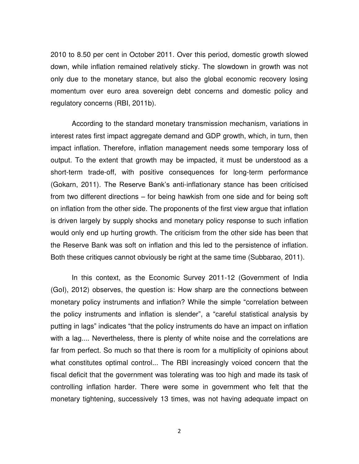2010 to 8.50 per cent in October 2011. Over this period, domestic growth slowed down, while inflation remained relatively sticky. The slowdown in growth was not only due to the monetary stance, but also the global economic recovery losing momentum over euro area sovereign debt concerns and domestic policy and regulatory concerns (RBI, 2011b).

According to the standard monetary transmission mechanism, variations in interest rates first impact aggregate demand and GDP growth, which, in turn, then impact inflation. Therefore, inflation management needs some temporary loss of output. To the extent that growth may be impacted, it must be understood as a short-term trade-off, with positive consequences for long-term performance (Gokarn, 2011). The Reserve Bank's anti-inflationary stance has been criticised from two different directions – for being hawkish from one side and for being soft on inflation from the other side. The proponents of the first view argue that inflation is driven largely by supply shocks and monetary policy response to such inflation would only end up hurting growth. The criticism from the other side has been that the Reserve Bank was soft on inflation and this led to the persistence of inflation. Both these critiques cannot obviously be right at the same time (Subbarao, 2011).

In this context, as the Economic Survey 2011-12 (Government of India (GoI), 2012) observes, the question is: How sharp are the connections between monetary policy instruments and inflation? While the simple "correlation between the policy instruments and inflation is slender", a "careful statistical analysis by putting in lags" indicates "that the policy instruments do have an impact on inflation with a lag.... Nevertheless, there is plenty of white noise and the correlations are far from perfect. So much so that there is room for a multiplicity of opinions about what constitutes optimal control... The RBI increasingly voiced concern that the fiscal deficit that the government was tolerating was too high and made its task of controlling inflation harder. There were some in government who felt that the monetary tightening, successively 13 times, was not having adequate impact on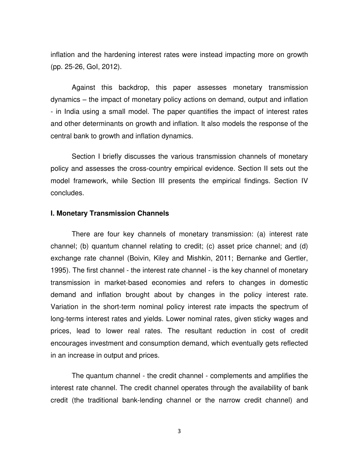inflation and the hardening interest rates were instead impacting more on growth (pp. 25-26, GoI, 2012).

Against this backdrop, this paper assesses monetary transmission dynamics – the impact of monetary policy actions on demand, output and inflation - in India using a small model. The paper quantifies the impact of interest rates and other determinants on growth and inflation. It also models the response of the central bank to growth and inflation dynamics.

Section I briefly discusses the various transmission channels of monetary policy and assesses the cross-country empirical evidence. Section II sets out the model framework, while Section III presents the empirical findings. Section IV concludes.

#### **I. Monetary Transmission Channels**

There are four key channels of monetary transmission: (a) interest rate channel; (b) quantum channel relating to credit; (c) asset price channel; and (d) exchange rate channel (Boivin, Kiley and Mishkin, 2011; Bernanke and Gertler, 1995). The first channel - the interest rate channel - is the key channel of monetary transmission in market-based economies and refers to changes in domestic demand and inflation brought about by changes in the policy interest rate. Variation in the short-term nominal policy interest rate impacts the spectrum of long-terms interest rates and yields. Lower nominal rates, given sticky wages and prices, lead to lower real rates. The resultant reduction in cost of credit encourages investment and consumption demand, which eventually gets reflected in an increase in output and prices.

The quantum channel - the credit channel - complements and amplifies the interest rate channel. The credit channel operates through the availability of bank credit (the traditional bank-lending channel or the narrow credit channel) and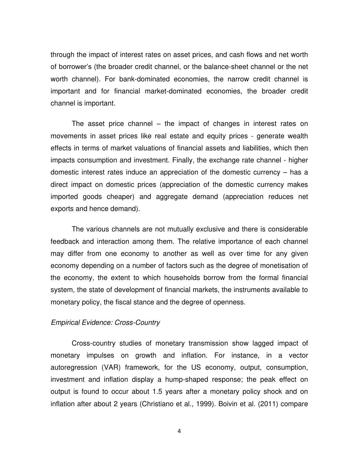through the impact of interest rates on asset prices, and cash flows and net worth of borrower's (the broader credit channel, or the balance-sheet channel or the net worth channel). For bank-dominated economies, the narrow credit channel is important and for financial market-dominated economies, the broader credit channel is important.

The asset price channel – the impact of changes in interest rates on movements in asset prices like real estate and equity prices - generate wealth effects in terms of market valuations of financial assets and liabilities, which then impacts consumption and investment. Finally, the exchange rate channel - higher domestic interest rates induce an appreciation of the domestic currency – has a direct impact on domestic prices (appreciation of the domestic currency makes imported goods cheaper) and aggregate demand (appreciation reduces net exports and hence demand).

The various channels are not mutually exclusive and there is considerable feedback and interaction among them. The relative importance of each channel may differ from one economy to another as well as over time for any given economy depending on a number of factors such as the degree of monetisation of the economy, the extent to which households borrow from the formal financial system, the state of development of financial markets, the instruments available to monetary policy, the fiscal stance and the degree of openness.

## *Empirical Evidence: Cross-Country*

Cross-country studies of monetary transmission show lagged impact of monetary impulses on growth and inflation. For instance, in a vector autoregression (VAR) framework, for the US economy, output, consumption, investment and inflation display a hump-shaped response; the peak effect on output is found to occur about 1.5 years after a monetary policy shock and on inflation after about 2 years (Christiano et al., 1999). Boivin et al. (2011) compare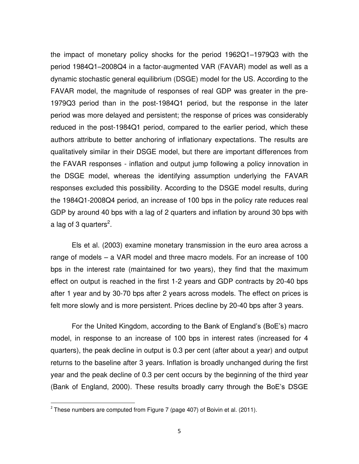the impact of monetary policy shocks for the period 1962Q1–1979Q3 with the period 1984Q1–2008Q4 in a factor-augmented VAR (FAVAR) model as well as a dynamic stochastic general equilibrium (DSGE) model for the US. According to the FAVAR model, the magnitude of responses of real GDP was greater in the pre-1979Q3 period than in the post-1984Q1 period, but the response in the later period was more delayed and persistent; the response of prices was considerably reduced in the post-1984Q1 period, compared to the earlier period, which these authors attribute to better anchoring of inflationary expectations. The results are qualitatively similar in their DSGE model, but there are important differences from the FAVAR responses - inflation and output jump following a policy innovation in the DSGE model, whereas the identifying assumption underlying the FAVAR responses excluded this possibility. According to the DSGE model results, during the 1984Q1-2008Q4 period, an increase of 100 bps in the policy rate reduces real GDP by around 40 bps with a lag of 2 quarters and inflation by around 30 bps with a lag of 3 quarters<sup>2</sup>.

Els et al. (2003) examine monetary transmission in the euro area across a range of models – a VAR model and three macro models. For an increase of 100 bps in the interest rate (maintained for two years), they find that the maximum effect on output is reached in the first 1-2 years and GDP contracts by 20-40 bps after 1 year and by 30-70 bps after 2 years across models. The effect on prices is felt more slowly and is more persistent. Prices decline by 20-40 bps after 3 years.

For the United Kingdom, according to the Bank of England's (BoE's) macro model, in response to an increase of 100 bps in interest rates (increased for 4 quarters), the peak decline in output is 0.3 per cent (after about a year) and output returns to the baseline after 3 years. Inflation is broadly unchanged during the first year and the peak decline of 0.3 per cent occurs by the beginning of the third year (Bank of England, 2000). These results broadly carry through the BoE's DSGE

 2 These numbers are computed from Figure 7 (page 407) of Boivin et al. (2011).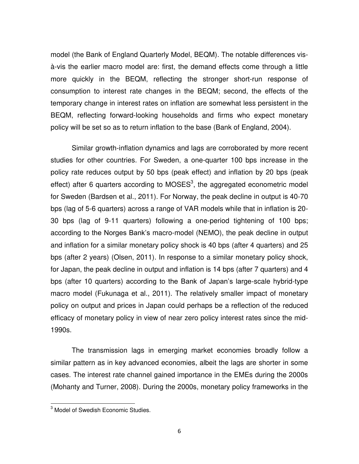model (the Bank of England Quarterly Model, BEQM). The notable differences visà-vis the earlier macro model are: first, the demand effects come through a little more quickly in the BEQM, reflecting the stronger short-run response of consumption to interest rate changes in the BEQM; second, the effects of the temporary change in interest rates on inflation are somewhat less persistent in the BEQM, reflecting forward-looking households and firms who expect monetary policy will be set so as to return inflation to the base (Bank of England, 2004).

Similar growth-inflation dynamics and lags are corroborated by more recent studies for other countries. For Sweden, a one-quarter 100 bps increase in the policy rate reduces output by 50 bps (peak effect) and inflation by 20 bps (peak effect) after 6 quarters according to MOSES $3$ , the aggregated econometric model for Sweden (Bardsen et al., 2011). For Norway, the peak decline in output is 40-70 bps (lag of 5-6 quarters) across a range of VAR models while that in inflation is 20- 30 bps (lag of 9-11 quarters) following a one-period tightening of 100 bps; according to the Norges Bank's macro-model (NEMO), the peak decline in output and inflation for a similar monetary policy shock is 40 bps (after 4 quarters) and 25 bps (after 2 years) (Olsen, 2011). In response to a similar monetary policy shock, for Japan, the peak decline in output and inflation is 14 bps (after 7 quarters) and 4 bps (after 10 quarters) according to the Bank of Japan's large-scale hybrid-type macro model (Fukunaga et al., 2011). The relatively smaller impact of monetary policy on output and prices in Japan could perhaps be a reflection of the reduced efficacy of monetary policy in view of near zero policy interest rates since the mid-1990s.

The transmission lags in emerging market economies broadly follow a similar pattern as in key advanced economies, albeit the lags are shorter in some cases. The interest rate channel gained importance in the EMEs during the 2000s (Mohanty and Turner, 2008). During the 2000s, monetary policy frameworks in the

 3 Model of Swedish Economic Studies.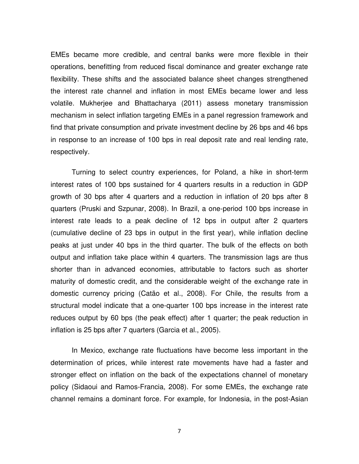EMEs became more credible, and central banks were more flexible in their operations, benefitting from reduced fiscal dominance and greater exchange rate flexibility. These shifts and the associated balance sheet changes strengthened the interest rate channel and inflation in most EMEs became lower and less volatile. Mukherjee and Bhattacharya (2011) assess monetary transmission mechanism in select inflation targeting EMEs in a panel regression framework and find that private consumption and private investment decline by 26 bps and 46 bps in response to an increase of 100 bps in real deposit rate and real lending rate, respectively.

Turning to select country experiences, for Poland, a hike in short-term interest rates of 100 bps sustained for 4 quarters results in a reduction in GDP growth of 30 bps after 4 quarters and a reduction in inflation of 20 bps after 8 quarters (Pruski and Szpunar, 2008). In Brazil, a one-period 100 bps increase in interest rate leads to a peak decline of 12 bps in output after 2 quarters (cumulative decline of 23 bps in output in the first year), while inflation decline peaks at just under 40 bps in the third quarter. The bulk of the effects on both output and inflation take place within 4 quarters. The transmission lags are thus shorter than in advanced economies, attributable to factors such as shorter maturity of domestic credit, and the considerable weight of the exchange rate in domestic currency pricing (Catão et al., 2008). For Chile, the results from a structural model indicate that a one-quarter 100 bps increase in the interest rate reduces output by 60 bps (the peak effect) after 1 quarter; the peak reduction in inflation is 25 bps after 7 quarters (Garcia et al., 2005).

In Mexico, exchange rate fluctuations have become less important in the determination of prices, while interest rate movements have had a faster and stronger effect on inflation on the back of the expectations channel of monetary policy (Sidaoui and Ramos-Francia, 2008). For some EMEs, the exchange rate channel remains a dominant force. For example, for Indonesia, in the post-Asian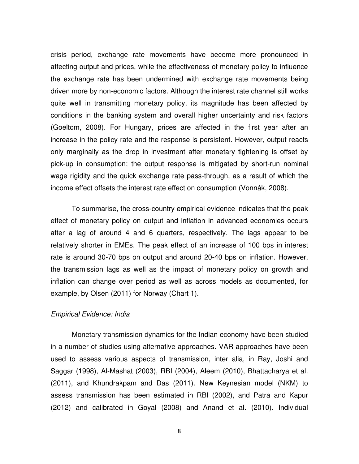crisis period, exchange rate movements have become more pronounced in affecting output and prices, while the effectiveness of monetary policy to influence the exchange rate has been undermined with exchange rate movements being driven more by non-economic factors. Although the interest rate channel still works quite well in transmitting monetary policy, its magnitude has been affected by conditions in the banking system and overall higher uncertainty and risk factors (Goeltom, 2008). For Hungary, prices are affected in the first year after an increase in the policy rate and the response is persistent. However, output reacts only marginally as the drop in investment after monetary tightening is offset by pick-up in consumption; the output response is mitigated by short-run nominal wage rigidity and the quick exchange rate pass-through, as a result of which the income effect offsets the interest rate effect on consumption (Vonnák, 2008).

To summarise, the cross-country empirical evidence indicates that the peak effect of monetary policy on output and inflation in advanced economies occurs after a lag of around 4 and 6 quarters, respectively. The lags appear to be relatively shorter in EMEs. The peak effect of an increase of 100 bps in interest rate is around 30-70 bps on output and around 20-40 bps on inflation. However, the transmission lags as well as the impact of monetary policy on growth and inflation can change over period as well as across models as documented, for example, by Olsen (2011) for Norway (Chart 1).

#### *Empirical Evidence: India*

Monetary transmission dynamics for the Indian economy have been studied in a number of studies using alternative approaches. VAR approaches have been used to assess various aspects of transmission, inter alia, in Ray, Joshi and Saggar (1998), Al-Mashat (2003), RBI (2004), Aleem (2010), Bhattacharya et al. (2011), and Khundrakpam and Das (2011). New Keynesian model (NKM) to assess transmission has been estimated in RBI (2002), and Patra and Kapur (2012) and calibrated in Goyal (2008) and Anand et al. (2010). Individual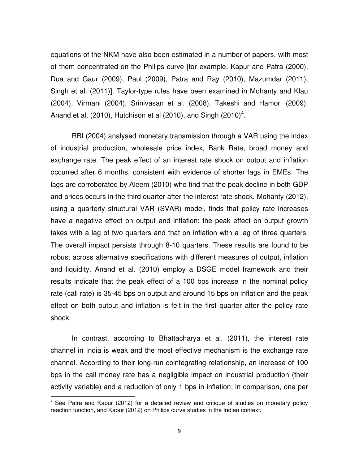equations of the NKM have also been estimated in a number of papers, with most of them concentrated on the Philips curve [for example, Kapur and Patra (2000), Dua and Gaur (2009), Paul (2009), Patra and Ray (2010), Mazumdar (2011), Singh et al. (2011)]. Taylor-type rules have been examined in Mohanty and Klau (2004), Virmani (2004), Srinivasan et al. (2008), Takeshi and Hamori (2009), Anand et al. (2010), Hutchison et al (2010), and Singh (2010)<sup>4</sup>.

RBI (2004) analysed monetary transmission through a VAR using the index of industrial production, wholesale price index, Bank Rate, broad money and exchange rate. The peak effect of an interest rate shock on output and inflation occurred after 6 months, consistent with evidence of shorter lags in EMEs. The lags are corroborated by Aleem (2010) who find that the peak decline in both GDP and prices occurs in the third quarter after the interest rate shock. Mohanty (2012), using a quarterly structural VAR (SVAR) model, finds that policy rate increases have a negative effect on output and inflation; the peak effect on output growth takes with a lag of two quarters and that on inflation with a lag of three quarters. The overall impact persists through 8-10 quarters. These results are found to be robust across alternative specifications with different measures of output, inflation and liquidity. Anand et al. (2010) employ a DSGE model framework and their results indicate that the peak effect of a 100 bps increase in the nominal policy rate (call rate) is 35-45 bps on output and around 15 bps on inflation and the peak effect on both output and inflation is felt in the first quarter after the policy rate shock.

In contrast, according to Bhattacharya et al. (2011), the interest rate channel in India is weak and the most effective mechanism is the exchange rate channel. According to their long-run cointegrating relationship, an increase of 100 bps in the call money rate has a negligible impact on industrial production (their activity variable) and a reduction of only 1 bps in inflation; in comparison, one per

 $\overline{a}$ 

 $4$  See Patra and Kapur (2012) for a detailed review and critique of studies on monetary policy reaction function, and Kapur (2012) on Philips curve studies in the Indian context.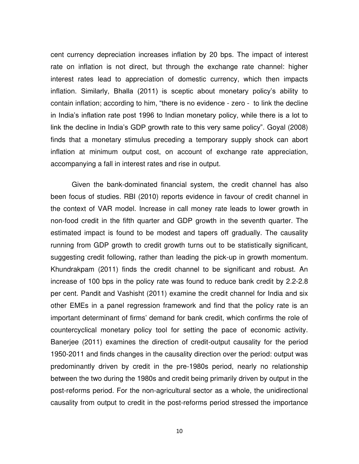cent currency depreciation increases inflation by 20 bps. The impact of interest rate on inflation is not direct, but through the exchange rate channel: higher interest rates lead to appreciation of domestic currency, which then impacts inflation. Similarly, Bhalla (2011) is sceptic about monetary policy's ability to contain inflation; according to him, "there is no evidence - zero - to link the decline in India's inflation rate post 1996 to Indian monetary policy, while there is a lot to link the decline in India's GDP growth rate to this very same policy". Goyal (2008) finds that a monetary stimulus preceding a temporary supply shock can abort inflation at minimum output cost, on account of exchange rate appreciation, accompanying a fall in interest rates and rise in output.

Given the bank-dominated financial system, the credit channel has also been focus of studies. RBI (2010) reports evidence in favour of credit channel in the context of VAR model. Increase in call money rate leads to lower growth in non-food credit in the fifth quarter and GDP growth in the seventh quarter. The estimated impact is found to be modest and tapers off gradually. The causality running from GDP growth to credit growth turns out to be statistically significant, suggesting credit following, rather than leading the pick-up in growth momentum. Khundrakpam (2011) finds the credit channel to be significant and robust. An increase of 100 bps in the policy rate was found to reduce bank credit by 2.2-2.8 per cent. Pandit and Vashisht (2011) examine the credit channel for India and six other EMEs in a panel regression framework and find that the policy rate is an important determinant of firms' demand for bank credit, which confirms the role of countercyclical monetary policy tool for setting the pace of economic activity. Banerjee (2011) examines the direction of credit-output causality for the period 1950-2011 and finds changes in the causality direction over the period: output was predominantly driven by credit in the pre-1980s period, nearly no relationship between the two during the 1980s and credit being primarily driven by output in the post-reforms period. For the non-agricultural sector as a whole, the unidirectional causality from output to credit in the post-reforms period stressed the importance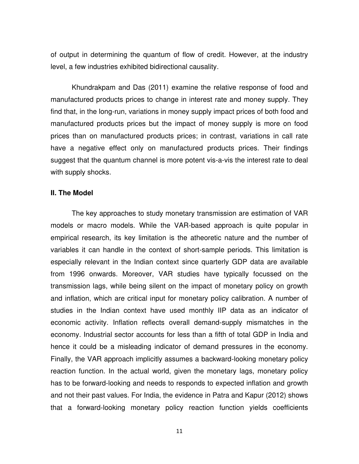of output in determining the quantum of flow of credit. However, at the industry level, a few industries exhibited bidirectional causality.

Khundrakpam and Das (2011) examine the relative response of food and manufactured products prices to change in interest rate and money supply. They find that, in the long-run, variations in money supply impact prices of both food and manufactured products prices but the impact of money supply is more on food prices than on manufactured products prices; in contrast, variations in call rate have a negative effect only on manufactured products prices. Their findings suggest that the quantum channel is more potent vis-a-vis the interest rate to deal with supply shocks.

#### **II. The Model**

The key approaches to study monetary transmission are estimation of VAR models or macro models. While the VAR-based approach is quite popular in empirical research, its key limitation is the atheoretic nature and the number of variables it can handle in the context of short-sample periods. This limitation is especially relevant in the Indian context since quarterly GDP data are available from 1996 onwards. Moreover, VAR studies have typically focussed on the transmission lags, while being silent on the impact of monetary policy on growth and inflation, which are critical input for monetary policy calibration. A number of studies in the Indian context have used monthly IIP data as an indicator of economic activity. Inflation reflects overall demand-supply mismatches in the economy. Industrial sector accounts for less than a fifth of total GDP in India and hence it could be a misleading indicator of demand pressures in the economy. Finally, the VAR approach implicitly assumes a backward-looking monetary policy reaction function. In the actual world, given the monetary lags, monetary policy has to be forward-looking and needs to responds to expected inflation and growth and not their past values. For India, the evidence in Patra and Kapur (2012) shows that a forward-looking monetary policy reaction function yields coefficients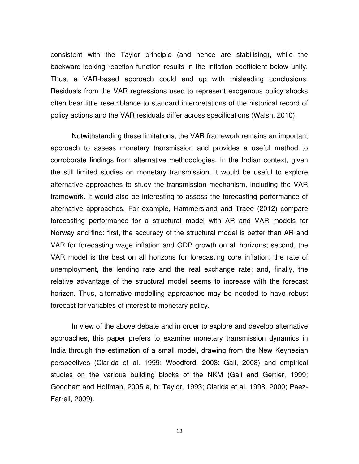consistent with the Taylor principle (and hence are stabilising), while the backward-looking reaction function results in the inflation coefficient below unity. Thus, a VAR-based approach could end up with misleading conclusions. Residuals from the VAR regressions used to represent exogenous policy shocks often bear little resemblance to standard interpretations of the historical record of policy actions and the VAR residuals differ across specifications (Walsh, 2010).

Notwithstanding these limitations, the VAR framework remains an important approach to assess monetary transmission and provides a useful method to corroborate findings from alternative methodologies. In the Indian context, given the still limited studies on monetary transmission, it would be useful to explore alternative approaches to study the transmission mechanism, including the VAR framework. It would also be interesting to assess the forecasting performance of alternative approaches. For example, Hammersland and Traee (2012) compare forecasting performance for a structural model with AR and VAR models for Norway and find: first, the accuracy of the structural model is better than AR and VAR for forecasting wage inflation and GDP growth on all horizons; second, the VAR model is the best on all horizons for forecasting core inflation, the rate of unemployment, the lending rate and the real exchange rate; and, finally, the relative advantage of the structural model seems to increase with the forecast horizon. Thus, alternative modelling approaches may be needed to have robust forecast for variables of interest to monetary policy.

In view of the above debate and in order to explore and develop alternative approaches, this paper prefers to examine monetary transmission dynamics in India through the estimation of a small model, drawing from the New Keynesian perspectives (Clarida et al. 1999; Woodford, 2003; Gali, 2008) and empirical studies on the various building blocks of the NKM (Gali and Gertler, 1999; Goodhart and Hoffman, 2005 a, b; Taylor, 1993; Clarida et al. 1998, 2000; Paez-Farrell, 2009).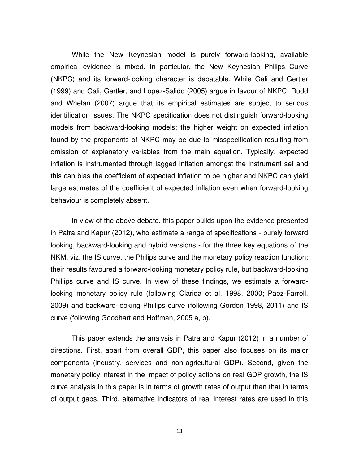While the New Keynesian model is purely forward-looking, available empirical evidence is mixed. In particular, the New Keynesian Philips Curve (NKPC) and its forward-looking character is debatable. While Gali and Gertler (1999) and Gali, Gertler, and Lopez-Salido (2005) argue in favour of NKPC, Rudd and Whelan (2007) argue that its empirical estimates are subject to serious identification issues. The NKPC specification does not distinguish forward-looking models from backward-looking models; the higher weight on expected inflation found by the proponents of NKPC may be due to misspecification resulting from omission of explanatory variables from the main equation. Typically, expected inflation is instrumented through lagged inflation amongst the instrument set and this can bias the coefficient of expected inflation to be higher and NKPC can yield large estimates of the coefficient of expected inflation even when forward-looking behaviour is completely absent.

In view of the above debate, this paper builds upon the evidence presented in Patra and Kapur (2012), who estimate a range of specifications - purely forward looking, backward-looking and hybrid versions - for the three key equations of the NKM, viz. the IS curve, the Philips curve and the monetary policy reaction function; their results favoured a forward-looking monetary policy rule, but backward-looking Phillips curve and IS curve. In view of these findings, we estimate a forwardlooking monetary policy rule (following Clarida et al. 1998, 2000; Paez-Farrell, 2009) and backward-looking Phillips curve (following Gordon 1998, 2011) and IS curve (following Goodhart and Hoffman, 2005 a, b).

This paper extends the analysis in Patra and Kapur (2012) in a number of directions. First, apart from overall GDP, this paper also focuses on its major components (industry, services and non-agricultural GDP). Second, given the monetary policy interest in the impact of policy actions on real GDP growth, the IS curve analysis in this paper is in terms of growth rates of output than that in terms of output gaps. Third, alternative indicators of real interest rates are used in this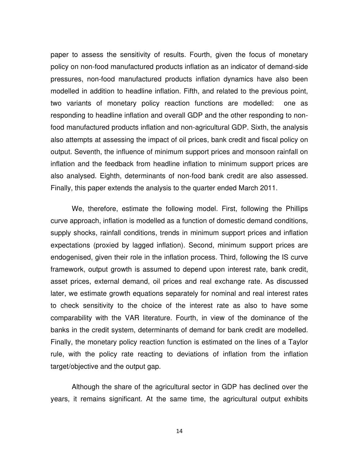paper to assess the sensitivity of results. Fourth, given the focus of monetary policy on non-food manufactured products inflation as an indicator of demand-side pressures, non-food manufactured products inflation dynamics have also been modelled in addition to headline inflation. Fifth, and related to the previous point, two variants of monetary policy reaction functions are modelled: one as responding to headline inflation and overall GDP and the other responding to nonfood manufactured products inflation and non-agricultural GDP. Sixth, the analysis also attempts at assessing the impact of oil prices, bank credit and fiscal policy on output. Seventh, the influence of minimum support prices and monsoon rainfall on inflation and the feedback from headline inflation to minimum support prices are also analysed. Eighth, determinants of non-food bank credit are also assessed. Finally, this paper extends the analysis to the quarter ended March 2011.

We, therefore, estimate the following model. First, following the Phillips curve approach, inflation is modelled as a function of domestic demand conditions, supply shocks, rainfall conditions, trends in minimum support prices and inflation expectations (proxied by lagged inflation). Second, minimum support prices are endogenised, given their role in the inflation process. Third, following the IS curve framework, output growth is assumed to depend upon interest rate, bank credit, asset prices, external demand, oil prices and real exchange rate. As discussed later, we estimate growth equations separately for nominal and real interest rates to check sensitivity to the choice of the interest rate as also to have some comparability with the VAR literature. Fourth, in view of the dominance of the banks in the credit system, determinants of demand for bank credit are modelled. Finally, the monetary policy reaction function is estimated on the lines of a Taylor rule, with the policy rate reacting to deviations of inflation from the inflation target/objective and the output gap.

Although the share of the agricultural sector in GDP has declined over the years, it remains significant. At the same time, the agricultural output exhibits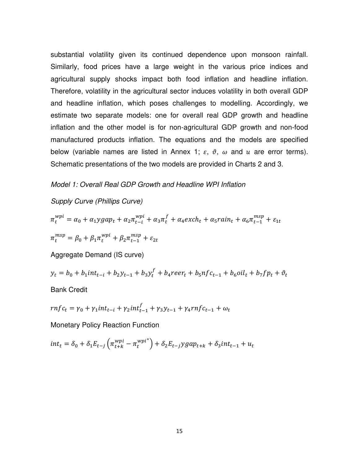substantial volatility given its continued dependence upon monsoon rainfall. Similarly, food prices have a large weight in the various price indices and agricultural supply shocks impact both food inflation and headline inflation. Therefore, volatility in the agricultural sector induces volatility in both overall GDP and headline inflation, which poses challenges to modelling. Accordingly, we estimate two separate models: one for overall real GDP growth and headline inflation and the other model is for non-agricultural GDP growth and non-food manufactured products inflation. The equations and the models are specified below (variable names are listed in Annex 1;  $\varepsilon$ ,  $\vartheta$ ,  $\omega$  and  $u$  are error terms). Schematic presentations of the two models are provided in Charts 2 and 3.

#### *Model 1: Overall Real GDP Growth and Headline WPI Inflation*

## *Supply Curve (Phillips Curve)*

$$
\pi_t^{wpi} = \alpha_0 + \alpha_1 y g a p_t + \alpha_2 \pi_{t-i}^{wpi} + \alpha_3 \pi_t^f + \alpha_4 e x c h_t + \alpha_5 r a i n_t + \alpha_6 \pi_{t-1}^{msp} + \varepsilon_{1t}
$$
  

$$
\pi_t^{msp} = \beta_0 + \beta_1 \pi_t^{wpi} + \beta_2 \pi_{t-1}^{msp} + \varepsilon_{2t}
$$

Aggregate Demand (IS curve)

$$
y_t = b_0 + b_1 int_{t-i} + b_2 y_{t-1} + b_3 y_t^f + b_4 reer_t + b_5 n f c_{t-1} + b_6 oil_t + b_7 f p_t + \vartheta_t
$$

Bank Credit

$$
rnfc_t = \gamma_0 + \gamma_1 int_{t-i} + \gamma_2 int_{t-1}^f + \gamma_3 y_{t-1} + \gamma_4 r n f c_{t-1} + \omega_t
$$

Monetary Policy Reaction Function

$$
int_t = \delta_0 + \delta_1 E_{t-j} \left( \pi_{t+k}^{wpi} - \pi_t^{wpi^*} \right) + \delta_2 E_{t-j} y g a p_{t+k} + \delta_3 int_{t-1} + u_t
$$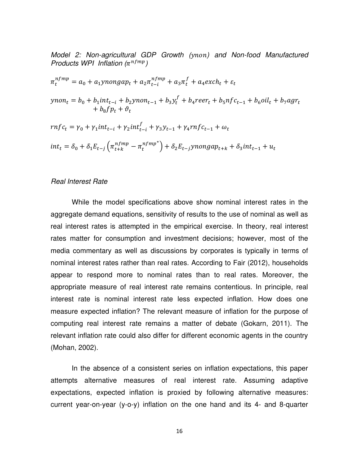*Model 2: Non-agricultural GDP Growth ( ) and Non-food Manufactured Products WPI Inflation*  $(\pi^{nfmp})$ 

$$
\pi_t^{n_fmp} = a_0 + a_1 y n on gap_t + a_2 \pi_{t-i}^{n_fmp} + a_3 \pi_t^f + a_4 \text{exch}_t + \varepsilon_t
$$
\n
$$
y non_t = b_0 + b_1 int_{t-i} + b_2 y n on_{t-1} + b_3 y_t^f + b_4 \text{reer}_t + b_5 n f c_{t-1} + b_6 o i l_t + b_7 a g r_t
$$
\n
$$
r n f c_t = \gamma_0 + \gamma_1 int_{t-i} + \gamma_2 int_{t-i}^f + \gamma_3 y_{t-1} + \gamma_4 r n f c_{t-1} + \omega_t
$$
\n
$$
int_t = \delta_0 + \delta_1 E_{t-j} \left( \pi_{t+k}^{n_fmp} - \pi_t^{n_fmp^*} \right) + \delta_2 E_{t-j} y n on gap_{t+k} + \delta_3 int_{t-1} + u_t
$$

#### *Real Interest Rate*

While the model specifications above show nominal interest rates in the aggregate demand equations, sensitivity of results to the use of nominal as well as real interest rates is attempted in the empirical exercise. In theory, real interest rates matter for consumption and investment decisions; however, most of the media commentary as well as discussions by corporates is typically in terms of nominal interest rates rather than real rates. According to Fair (2012), households appear to respond more to nominal rates than to real rates. Moreover, the appropriate measure of real interest rate remains contentious. In principle, real interest rate is nominal interest rate less expected inflation. How does one measure expected inflation? The relevant measure of inflation for the purpose of computing real interest rate remains a matter of debate (Gokarn, 2011). The relevant inflation rate could also differ for different economic agents in the country (Mohan, 2002).

In the absence of a consistent series on inflation expectations, this paper attempts alternative measures of real interest rate. Assuming adaptive expectations, expected inflation is proxied by following alternative measures: current year-on-year (y-o-y) inflation on the one hand and its 4- and 8-quarter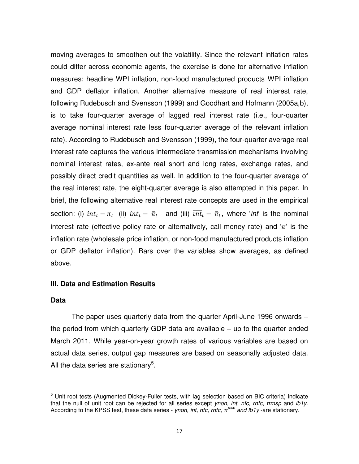moving averages to smoothen out the volatility. Since the relevant inflation rates could differ across economic agents, the exercise is done for alternative inflation measures: headline WPI inflation, non-food manufactured products WPI inflation and GDP deflator inflation. Another alternative measure of real interest rate, following Rudebusch and Svensson (1999) and Goodhart and Hofmann (2005a,b), is to take four-quarter average of lagged real interest rate (i.e., four-quarter average nominal interest rate less four-quarter average of the relevant inflation rate). According to Rudebusch and Svensson (1999), the four-quarter average real interest rate captures the various intermediate transmission mechanisms involving nominal interest rates, ex-ante real short and long rates, exchange rates, and possibly direct credit quantities as well. In addition to the four-quarter average of the real interest rate, the eight-quarter average is also attempted in this paper. In brief, the following alternative real interest rate concepts are used in the empirical section: (i)  $int_t - \pi_t$  (ii)  $int_t - \bar{\pi}_t$  and (iii)  $\overline{int}_t - \bar{\pi}_t$ , where '*int*' is the nominal interest rate (effective policy rate or alternatively, call money rate) and ' $\pi$ ' is the inflation rate (wholesale price inflation, or non-food manufactured products inflation or GDP deflator inflation). Bars over the variables show averages, as defined above.

#### **III. Data and Estimation Results**

#### **Data**

The paper uses quarterly data from the quarter April-June 1996 onwards – the period from which quarterly GDP data are available – up to the quarter ended March 2011. While year-on-year growth rates of various variables are based on actual data series, output gap measures are based on seasonally adjusted data. All the data series are stationary<sup>5</sup>.

<sup>&</sup>lt;u>-</u><br><sup>5</sup> Unit root tests (Augmented Dickey-Fuller tests, with lag selection based on BIC criteria) indicate that the null of unit root can be rejected for all series except *ynon, int, nfc, rnfc*, *πmsp* and *lb1y*. According to the KPSS test, these data series - *ynon, int, nfc, rnfc, πmsp and lb1y* -are stationary.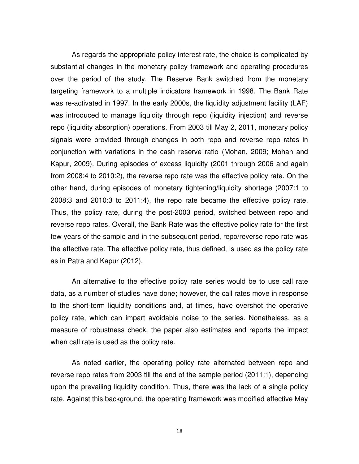As regards the appropriate policy interest rate, the choice is complicated by substantial changes in the monetary policy framework and operating procedures over the period of the study. The Reserve Bank switched from the monetary targeting framework to a multiple indicators framework in 1998. The Bank Rate was re-activated in 1997. In the early 2000s, the liquidity adjustment facility (LAF) was introduced to manage liquidity through repo (liquidity injection) and reverse repo (liquidity absorption) operations. From 2003 till May 2, 2011, monetary policy signals were provided through changes in both repo and reverse repo rates in conjunction with variations in the cash reserve ratio (Mohan, 2009; Mohan and Kapur, 2009). During episodes of excess liquidity (2001 through 2006 and again from 2008:4 to 2010:2), the reverse repo rate was the effective policy rate. On the other hand, during episodes of monetary tightening/liquidity shortage (2007:1 to 2008:3 and 2010:3 to 2011:4), the repo rate became the effective policy rate. Thus, the policy rate, during the post-2003 period, switched between repo and reverse repo rates. Overall, the Bank Rate was the effective policy rate for the first few years of the sample and in the subsequent period, repo/reverse repo rate was the effective rate. The effective policy rate, thus defined, is used as the policy rate as in Patra and Kapur (2012).

An alternative to the effective policy rate series would be to use call rate data, as a number of studies have done; however, the call rates move in response to the short-term liquidity conditions and, at times, have overshot the operative policy rate, which can impart avoidable noise to the series. Nonetheless, as a measure of robustness check, the paper also estimates and reports the impact when call rate is used as the policy rate.

As noted earlier, the operating policy rate alternated between repo and reverse repo rates from 2003 till the end of the sample period (2011:1), depending upon the prevailing liquidity condition. Thus, there was the lack of a single policy rate. Against this background, the operating framework was modified effective May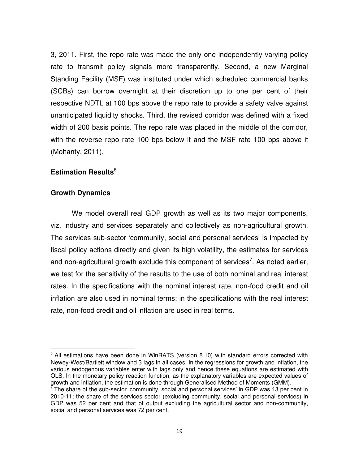3, 2011. First, the repo rate was made the only one independently varying policy rate to transmit policy signals more transparently. Second, a new Marginal Standing Facility (MSF) was instituted under which scheduled commercial banks (SCBs) can borrow overnight at their discretion up to one per cent of their respective NDTL at 100 bps above the repo rate to provide a safety valve against unanticipated liquidity shocks. Third, the revised corridor was defined with a fixed width of 200 basis points. The repo rate was placed in the middle of the corridor, with the reverse repo rate 100 bps below it and the MSF rate 100 bps above it (Mohanty, 2011).

# **Estimation Results**<sup>6</sup>

#### **Growth Dynamics**

 $\overline{a}$ 

We model overall real GDP growth as well as its two major components, viz, industry and services separately and collectively as non-agricultural growth. The services sub-sector 'community, social and personal services' is impacted by fiscal policy actions directly and given its high volatility, the estimates for services and non-agricultural growth exclude this component of services<sup>7</sup>. As noted earlier, we test for the sensitivity of the results to the use of both nominal and real interest rates. In the specifications with the nominal interest rate, non-food credit and oil inflation are also used in nominal terms; in the specifications with the real interest rate, non-food credit and oil inflation are used in real terms.

 $6$  All estimations have been done in WinRATS (version 8.10) with standard errors corrected with Newey-West/Bartlett window and 3 lags in all cases. In the regressions for growth and inflation, the various endogenous variables enter with lags only and hence these equations are estimated with OLS. In the monetary policy reaction function, as the explanatory variables are expected values of growth and inflation, the estimation is done through Generalised Method of Moments (GMM).<br>The share of the sub sector (community, secial and personal convices) in CDD was 13 ner a

The share of the sub-sector 'community, social and personal services' in GDP was 13 per cent in 2010-11; the share of the services sector (excluding community, social and personal services) in GDP was 52 per cent and that of output excluding the agricultural sector and non-community, social and personal services was 72 per cent.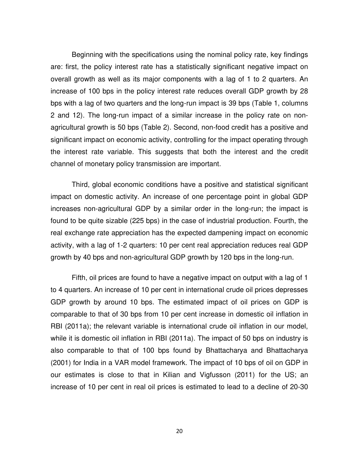Beginning with the specifications using the nominal policy rate, key findings are: first, the policy interest rate has a statistically significant negative impact on overall growth as well as its major components with a lag of 1 to 2 quarters. An increase of 100 bps in the policy interest rate reduces overall GDP growth by 28 bps with a lag of two quarters and the long-run impact is 39 bps (Table 1, columns 2 and 12). The long-run impact of a similar increase in the policy rate on nonagricultural growth is 50 bps (Table 2). Second, non-food credit has a positive and significant impact on economic activity, controlling for the impact operating through the interest rate variable. This suggests that both the interest and the credit channel of monetary policy transmission are important.

Third, global economic conditions have a positive and statistical significant impact on domestic activity. An increase of one percentage point in global GDP increases non-agricultural GDP by a similar order in the long-run; the impact is found to be quite sizable (225 bps) in the case of industrial production. Fourth, the real exchange rate appreciation has the expected dampening impact on economic activity, with a lag of 1-2 quarters: 10 per cent real appreciation reduces real GDP growth by 40 bps and non-agricultural GDP growth by 120 bps in the long-run.

Fifth, oil prices are found to have a negative impact on output with a lag of 1 to 4 quarters. An increase of 10 per cent in international crude oil prices depresses GDP growth by around 10 bps. The estimated impact of oil prices on GDP is comparable to that of 30 bps from 10 per cent increase in domestic oil inflation in RBI (2011a); the relevant variable is international crude oil inflation in our model, while it is domestic oil inflation in RBI (2011a). The impact of 50 bps on industry is also comparable to that of 100 bps found by Bhattacharya and Bhattacharya (2001) for India in a VAR model framework. The impact of 10 bps of oil on GDP in our estimates is close to that in Kilian and Vigfusson (2011) for the US; an increase of 10 per cent in real oil prices is estimated to lead to a decline of 20-30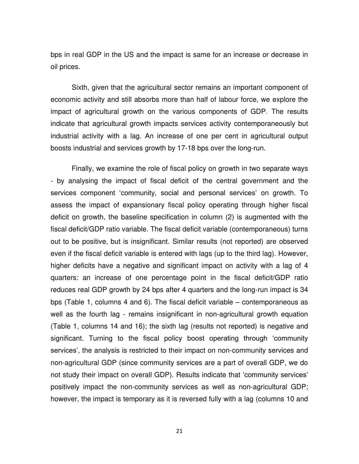bps in real GDP in the US and the impact is same for an increase or decrease in oil prices.

Sixth, given that the agricultural sector remains an important component of economic activity and still absorbs more than half of labour force, we explore the impact of agricultural growth on the various components of GDP. The results indicate that agricultural growth impacts services activity contemporaneously but industrial activity with a lag. An increase of one per cent in agricultural output boosts industrial and services growth by 17-18 bps over the long-run.

Finally, we examine the role of fiscal policy on growth in two separate ways - by analysing the impact of fiscal deficit of the central government and the services component 'community, social and personal services' on growth. To assess the impact of expansionary fiscal policy operating through higher fiscal deficit on growth, the baseline specification in column (2) is augmented with the fiscal deficit/GDP ratio variable. The fiscal deficit variable (contemporaneous) turns out to be positive, but is insignificant. Similar results (not reported) are observed even if the fiscal deficit variable is entered with lags (up to the third lag). However, higher deficits have a negative and significant impact on activity with a lag of 4 quarters: an increase of one percentage point in the fiscal deficit/GDP ratio reduces real GDP growth by 24 bps after 4 quarters and the long-run impact is 34 bps (Table 1, columns 4 and 6). The fiscal deficit variable – contemporaneous as well as the fourth lag - remains insignificant in non-agricultural growth equation (Table 1, columns 14 and 16); the sixth lag (results not reported) is negative and significant. Turning to the fiscal policy boost operating through 'community services', the analysis is restricted to their impact on non-community services and non-agricultural GDP (since community services are a part of overall GDP, we do not study their impact on overall GDP). Results indicate that 'community services' positively impact the non-community services as well as non-agricultural GDP; however, the impact is temporary as it is reversed fully with a lag (columns 10 and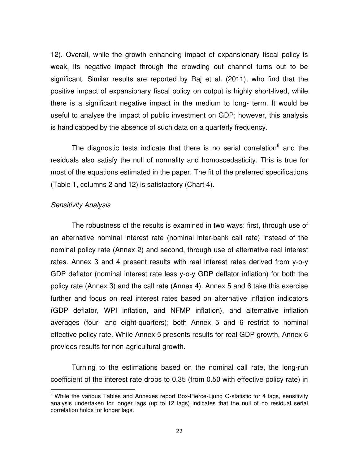12). Overall, while the growth enhancing impact of expansionary fiscal policy is weak, its negative impact through the crowding out channel turns out to be significant. Similar results are reported by Raj et al. (2011), who find that the positive impact of expansionary fiscal policy on output is highly short-lived, while there is a significant negative impact in the medium to long- term. It would be useful to analyse the impact of public investment on GDP; however, this analysis is handicapped by the absence of such data on a quarterly frequency.

The diagnostic tests indicate that there is no serial correlation<sup>8</sup> and the residuals also satisfy the null of normality and homoscedasticity. This is true for most of the equations estimated in the paper. The fit of the preferred specifications (Table 1, columns 2 and 12) is satisfactory (Chart 4).

#### *Sensitivity Analysis*

 $\overline{a}$ 

The robustness of the results is examined in two ways: first, through use of an alternative nominal interest rate (nominal inter-bank call rate) instead of the nominal policy rate (Annex 2) and second, through use of alternative real interest rates. Annex 3 and 4 present results with real interest rates derived from y-o-y GDP deflator (nominal interest rate less y-o-y GDP deflator inflation) for both the policy rate (Annex 3) and the call rate (Annex 4). Annex 5 and 6 take this exercise further and focus on real interest rates based on alternative inflation indicators (GDP deflator, WPI inflation, and NFMP inflation), and alternative inflation averages (four- and eight-quarters); both Annex 5 and 6 restrict to nominal effective policy rate. While Annex 5 presents results for real GDP growth, Annex 6 provides results for non-agricultural growth.

Turning to the estimations based on the nominal call rate, the long-run coefficient of the interest rate drops to 0.35 (from 0.50 with effective policy rate) in

<sup>&</sup>lt;sup>8</sup> While the various Tables and Annexes report Box-Pierce-Ljung Q-statistic for 4 lags, sensitivity analysis undertaken for longer lags (up to 12 lags) indicates that the null of no residual serial correlation holds for longer lags.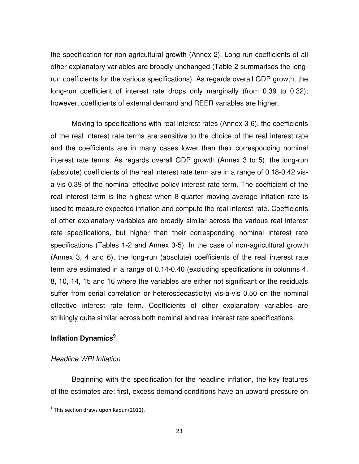the specification for non-agricultural growth (Annex 2). Long-run coefficients of all other explanatory variables are broadly unchanged (Table 2 summarises the longrun coefficients for the various specifications). As regards overall GDP growth, the long-run coefficient of interest rate drops only marginally (from 0.39 to 0.32); however, coefficients of external demand and REER variables are higher.

Moving to specifications with real interest rates (Annex 3-6), the coefficients of the real interest rate terms are sensitive to the choice of the real interest rate and the coefficients are in many cases lower than their corresponding nominal interest rate terms. As regards overall GDP growth (Annex 3 to 5), the long-run (absolute) coefficients of the real interest rate term are in a range of 0.18-0.42 visa-vis 0.39 of the nominal effective policy interest rate term. The coefficient of the real interest term is the highest when 8-quarter moving average inflation rate is used to measure expected inflation and compute the real interest rate. Coefficients of other explanatory variables are broadly similar across the various real interest rate specifications, but higher than their corresponding nominal interest rate specifications (Tables 1-2 and Annex 3-5). In the case of non-agricultural growth (Annex 3, 4 and 6), the long-run (absolute) coefficients of the real interest rate term are estimated in a range of 0.14-0.40 (excluding specifications in columns 4, 8, 10, 14, 15 and 16 where the variables are either not significant or the residuals suffer from serial correlation or heteroscedasticity) vis-a-vis 0.50 on the nominal effective interest rate term. Coefficients of other explanatory variables are strikingly quite similar across both nominal and real interest rate specifications.

# **Inflation Dynamics<sup>9</sup>**

# *Headline WPI Inflation*

Beginning with the specification for the headline inflation, the key features of the estimates are: first, excess demand conditions have an upward pressure on

 9 This section draws upon Kapur (2012).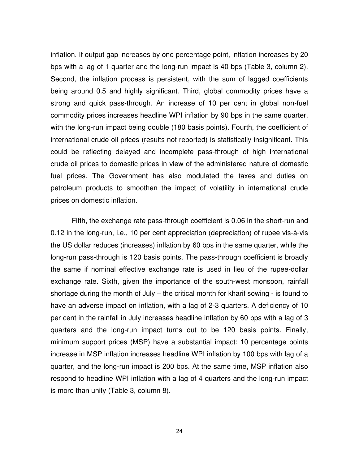inflation. If output gap increases by one percentage point, inflation increases by 20 bps with a lag of 1 quarter and the long-run impact is 40 bps (Table 3, column 2). Second, the inflation process is persistent, with the sum of lagged coefficients being around 0.5 and highly significant. Third, global commodity prices have a strong and quick pass-through. An increase of 10 per cent in global non-fuel commodity prices increases headline WPI inflation by 90 bps in the same quarter, with the long-run impact being double (180 basis points). Fourth, the coefficient of international crude oil prices (results not reported) is statistically insignificant. This could be reflecting delayed and incomplete pass-through of high international crude oil prices to domestic prices in view of the administered nature of domestic fuel prices. The Government has also modulated the taxes and duties on petroleum products to smoothen the impact of volatility in international crude prices on domestic inflation.

Fifth, the exchange rate pass-through coefficient is 0.06 in the short-run and 0.12 in the long-run, i.e., 10 per cent appreciation (depreciation) of rupee vis-à-vis the US dollar reduces (increases) inflation by 60 bps in the same quarter, while the long-run pass-through is 120 basis points. The pass-through coefficient is broadly the same if nominal effective exchange rate is used in lieu of the rupee-dollar exchange rate. Sixth, given the importance of the south-west monsoon, rainfall shortage during the month of July – the critical month for kharif sowing - is found to have an adverse impact on inflation, with a lag of 2-3 quarters. A deficiency of 10 per cent in the rainfall in July increases headline inflation by 60 bps with a lag of 3 quarters and the long-run impact turns out to be 120 basis points. Finally, minimum support prices (MSP) have a substantial impact: 10 percentage points increase in MSP inflation increases headline WPI inflation by 100 bps with lag of a quarter, and the long-run impact is 200 bps. At the same time, MSP inflation also respond to headline WPI inflation with a lag of 4 quarters and the long-run impact is more than unity (Table 3, column 8).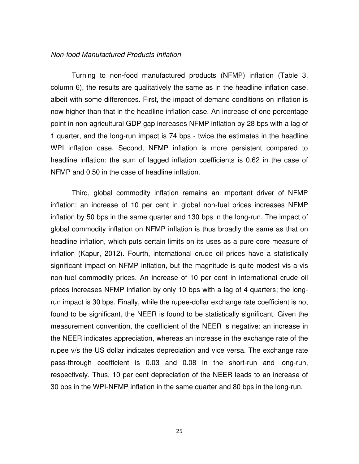#### *Non-food Manufactured Products Inflation*

Turning to non-food manufactured products (NFMP) inflation (Table 3, column 6), the results are qualitatively the same as in the headline inflation case, albeit with some differences. First, the impact of demand conditions on inflation is now higher than that in the headline inflation case. An increase of one percentage point in non-agricultural GDP gap increases NFMP inflation by 28 bps with a lag of 1 quarter, and the long-run impact is 74 bps - twice the estimates in the headline WPI inflation case. Second, NFMP inflation is more persistent compared to headline inflation: the sum of lagged inflation coefficients is 0.62 in the case of NFMP and 0.50 in the case of headline inflation.

Third, global commodity inflation remains an important driver of NFMP inflation: an increase of 10 per cent in global non-fuel prices increases NFMP inflation by 50 bps in the same quarter and 130 bps in the long-run. The impact of global commodity inflation on NFMP inflation is thus broadly the same as that on headline inflation, which puts certain limits on its uses as a pure core measure of inflation (Kapur, 2012). Fourth, international crude oil prices have a statistically significant impact on NFMP inflation, but the magnitude is quite modest vis-a-vis non-fuel commodity prices. An increase of 10 per cent in international crude oil prices increases NFMP inflation by only 10 bps with a lag of 4 quarters; the longrun impact is 30 bps. Finally, while the rupee-dollar exchange rate coefficient is not found to be significant, the NEER is found to be statistically significant. Given the measurement convention, the coefficient of the NEER is negative: an increase in the NEER indicates appreciation, whereas an increase in the exchange rate of the rupee v/s the US dollar indicates depreciation and vice versa. The exchange rate pass-through coefficient is 0.03 and 0.08 in the short-run and long-run, respectively. Thus, 10 per cent depreciation of the NEER leads to an increase of 30 bps in the WPI-NFMP inflation in the same quarter and 80 bps in the long-run.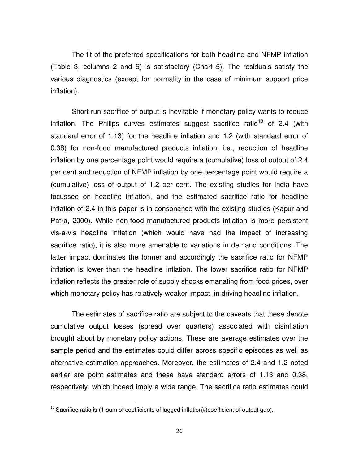The fit of the preferred specifications for both headline and NFMP inflation (Table 3, columns 2 and 6) is satisfactory (Chart 5). The residuals satisfy the various diagnostics (except for normality in the case of minimum support price inflation).

Short-run sacrifice of output is inevitable if monetary policy wants to reduce inflation. The Philips curves estimates suggest sacrifice ratio<sup>10</sup> of 2.4 (with standard error of 1.13) for the headline inflation and 1.2 (with standard error of 0.38) for non-food manufactured products inflation, i.e., reduction of headline inflation by one percentage point would require a (cumulative) loss of output of 2.4 per cent and reduction of NFMP inflation by one percentage point would require a (cumulative) loss of output of 1.2 per cent. The existing studies for India have focussed on headline inflation, and the estimated sacrifice ratio for headline inflation of 2.4 in this paper is in consonance with the existing studies (Kapur and Patra, 2000). While non-food manufactured products inflation is more persistent vis-a-vis headline inflation (which would have had the impact of increasing sacrifice ratio), it is also more amenable to variations in demand conditions. The latter impact dominates the former and accordingly the sacrifice ratio for NFMP inflation is lower than the headline inflation. The lower sacrifice ratio for NFMP inflation reflects the greater role of supply shocks emanating from food prices, over which monetary policy has relatively weaker impact, in driving headline inflation.

The estimates of sacrifice ratio are subject to the caveats that these denote cumulative output losses (spread over quarters) associated with disinflation brought about by monetary policy actions. These are average estimates over the sample period and the estimates could differ across specific episodes as well as alternative estimation approaches. Moreover, the estimates of 2.4 and 1.2 noted earlier are point estimates and these have standard errors of 1.13 and 0.38, respectively, which indeed imply a wide range. The sacrifice ratio estimates could

 $\overline{a}$ 

 $10$  Sacrifice ratio is (1-sum of coefficients of lagged inflation)/(coefficient of output gap).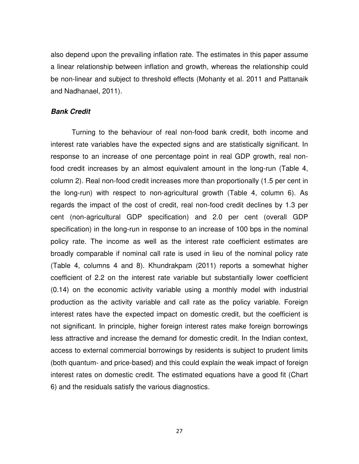also depend upon the prevailing inflation rate. The estimates in this paper assume a linear relationship between inflation and growth, whereas the relationship could be non-linear and subject to threshold effects (Mohanty et al. 2011 and Pattanaik and Nadhanael, 2011).

#### *Bank Credit*

Turning to the behaviour of real non-food bank credit, both income and interest rate variables have the expected signs and are statistically significant. In response to an increase of one percentage point in real GDP growth, real nonfood credit increases by an almost equivalent amount in the long-run (Table 4, column 2). Real non-food credit increases more than proportionally (1.5 per cent in the long-run) with respect to non-agricultural growth (Table 4, column 6). As regards the impact of the cost of credit, real non-food credit declines by 1.3 per cent (non-agricultural GDP specification) and 2.0 per cent (overall GDP specification) in the long-run in response to an increase of 100 bps in the nominal policy rate. The income as well as the interest rate coefficient estimates are broadly comparable if nominal call rate is used in lieu of the nominal policy rate (Table 4, columns 4 and 8). Khundrakpam (2011) reports a somewhat higher coefficient of 2.2 on the interest rate variable but substantially lower coefficient (0.14) on the economic activity variable using a monthly model with industrial production as the activity variable and call rate as the policy variable. Foreign interest rates have the expected impact on domestic credit, but the coefficient is not significant. In principle, higher foreign interest rates make foreign borrowings less attractive and increase the demand for domestic credit. In the Indian context, access to external commercial borrowings by residents is subject to prudent limits (both quantum- and price-based) and this could explain the weak impact of foreign interest rates on domestic credit. The estimated equations have a good fit (Chart 6) and the residuals satisfy the various diagnostics.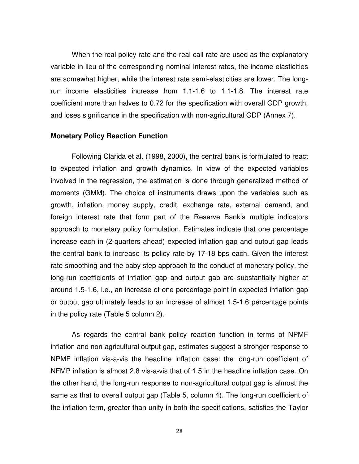When the real policy rate and the real call rate are used as the explanatory variable in lieu of the corresponding nominal interest rates, the income elasticities are somewhat higher, while the interest rate semi-elasticities are lower. The longrun income elasticities increase from 1.1-1.6 to 1.1-1.8. The interest rate coefficient more than halves to 0.72 for the specification with overall GDP growth, and loses significance in the specification with non-agricultural GDP (Annex 7).

#### **Monetary Policy Reaction Function**

Following Clarida et al. (1998, 2000), the central bank is formulated to react to expected inflation and growth dynamics. In view of the expected variables involved in the regression, the estimation is done through generalized method of moments (GMM). The choice of instruments draws upon the variables such as growth, inflation, money supply, credit, exchange rate, external demand, and foreign interest rate that form part of the Reserve Bank's multiple indicators approach to monetary policy formulation. Estimates indicate that one percentage increase each in (2-quarters ahead) expected inflation gap and output gap leads the central bank to increase its policy rate by 17-18 bps each. Given the interest rate smoothing and the baby step approach to the conduct of monetary policy, the long-run coefficients of inflation gap and output gap are substantially higher at around 1.5-1.6, i.e., an increase of one percentage point in expected inflation gap or output gap ultimately leads to an increase of almost 1.5-1.6 percentage points in the policy rate (Table 5 column 2).

As regards the central bank policy reaction function in terms of NPMF inflation and non-agricultural output gap, estimates suggest a stronger response to NPMF inflation vis-a-vis the headline inflation case: the long-run coefficient of NFMP inflation is almost 2.8 vis-a-vis that of 1.5 in the headline inflation case. On the other hand, the long-run response to non-agricultural output gap is almost the same as that to overall output gap (Table 5, column 4). The long-run coefficient of the inflation term, greater than unity in both the specifications, satisfies the Taylor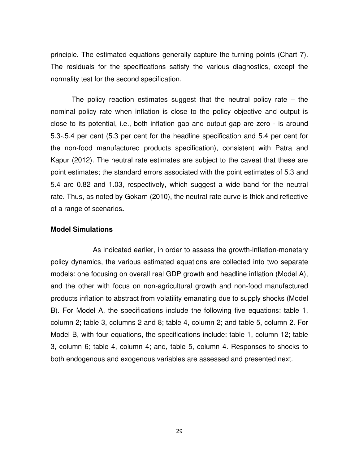principle. The estimated equations generally capture the turning points (Chart 7). The residuals for the specifications satisfy the various diagnostics, except the normality test for the second specification.

The policy reaction estimates suggest that the neutral policy rate – the nominal policy rate when inflation is close to the policy objective and output is close to its potential, i.e., both inflation gap and output gap are zero - is around 5.3-.5.4 per cent (5.3 per cent for the headline specification and 5.4 per cent for the non-food manufactured products specification), consistent with Patra and Kapur (2012). The neutral rate estimates are subject to the caveat that these are point estimates; the standard errors associated with the point estimates of 5.3 and 5.4 are 0.82 and 1.03, respectively, which suggest a wide band for the neutral rate. Thus, as noted by Gokarn (2010), the neutral rate curve is thick and reflective of a range of scenarios**.**

#### **Model Simulations**

 As indicated earlier, in order to assess the growth-inflation-monetary policy dynamics, the various estimated equations are collected into two separate models: one focusing on overall real GDP growth and headline inflation (Model A), and the other with focus on non-agricultural growth and non-food manufactured products inflation to abstract from volatility emanating due to supply shocks (Model B). For Model A, the specifications include the following five equations: table 1, column 2; table 3, columns 2 and 8; table 4, column 2; and table 5, column 2. For Model B, with four equations, the specifications include: table 1, column 12; table 3, column 6; table 4, column 4; and, table 5, column 4. Responses to shocks to both endogenous and exogenous variables are assessed and presented next.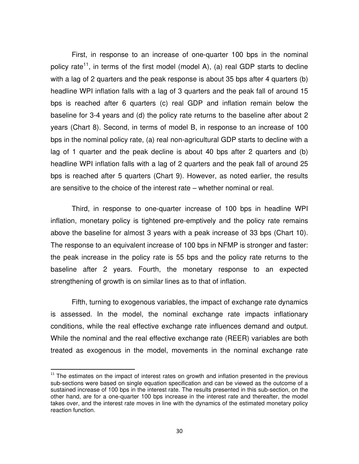First, in response to an increase of one-quarter 100 bps in the nominal policy rate<sup>11</sup>, in terms of the first model (model A), (a) real GDP starts to decline with a lag of 2 quarters and the peak response is about 35 bps after 4 quarters (b) headline WPI inflation falls with a lag of 3 quarters and the peak fall of around 15 bps is reached after 6 quarters (c) real GDP and inflation remain below the baseline for 3-4 years and (d) the policy rate returns to the baseline after about 2 years (Chart 8). Second, in terms of model B, in response to an increase of 100 bps in the nominal policy rate, (a) real non-agricultural GDP starts to decline with a lag of 1 quarter and the peak decline is about 40 bps after 2 quarters and (b) headline WPI inflation falls with a lag of 2 quarters and the peak fall of around 25 bps is reached after 5 quarters (Chart 9). However, as noted earlier, the results are sensitive to the choice of the interest rate – whether nominal or real.

Third, in response to one-quarter increase of 100 bps in headline WPI inflation, monetary policy is tightened pre-emptively and the policy rate remains above the baseline for almost 3 years with a peak increase of 33 bps (Chart 10). The response to an equivalent increase of 100 bps in NFMP is stronger and faster: the peak increase in the policy rate is 55 bps and the policy rate returns to the baseline after 2 years. Fourth, the monetary response to an expected strengthening of growth is on similar lines as to that of inflation.

Fifth, turning to exogenous variables, the impact of exchange rate dynamics is assessed. In the model, the nominal exchange rate impacts inflationary conditions, while the real effective exchange rate influences demand and output. While the nominal and the real effective exchange rate (REER) variables are both treated as exogenous in the model, movements in the nominal exchange rate

 $\overline{a}$ 

 $11$  The estimates on the impact of interest rates on growth and inflation presented in the previous sub-sections were based on single equation specification and can be viewed as the outcome of a sustained increase of 100 bps in the interest rate. The results presented in this sub-section, on the other hand, are for a one-quarter 100 bps increase in the interest rate and thereafter, the model takes over, and the interest rate moves in line with the dynamics of the estimated monetary policy reaction function.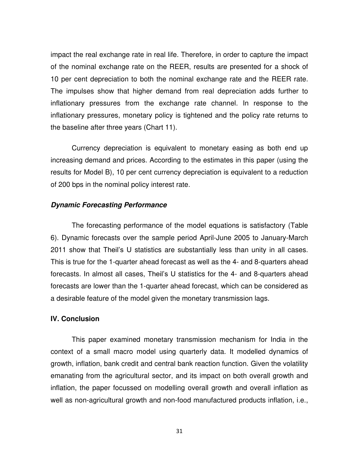impact the real exchange rate in real life. Therefore, in order to capture the impact of the nominal exchange rate on the REER, results are presented for a shock of 10 per cent depreciation to both the nominal exchange rate and the REER rate. The impulses show that higher demand from real depreciation adds further to inflationary pressures from the exchange rate channel. In response to the inflationary pressures, monetary policy is tightened and the policy rate returns to the baseline after three years (Chart 11).

Currency depreciation is equivalent to monetary easing as both end up increasing demand and prices. According to the estimates in this paper (using the results for Model B), 10 per cent currency depreciation is equivalent to a reduction of 200 bps in the nominal policy interest rate.

#### *Dynamic Forecasting Performance*

The forecasting performance of the model equations is satisfactory (Table 6). Dynamic forecasts over the sample period April-June 2005 to January-March 2011 show that Theil's U statistics are substantially less than unity in all cases. This is true for the 1-quarter ahead forecast as well as the 4- and 8-quarters ahead forecasts. In almost all cases, Theil's U statistics for the 4- and 8-quarters ahead forecasts are lower than the 1-quarter ahead forecast, which can be considered as a desirable feature of the model given the monetary transmission lags.

#### **IV. Conclusion**

This paper examined monetary transmission mechanism for India in the context of a small macro model using quarterly data. It modelled dynamics of growth, inflation, bank credit and central bank reaction function. Given the volatility emanating from the agricultural sector, and its impact on both overall growth and inflation, the paper focussed on modelling overall growth and overall inflation as well as non-agricultural growth and non-food manufactured products inflation, i.e.,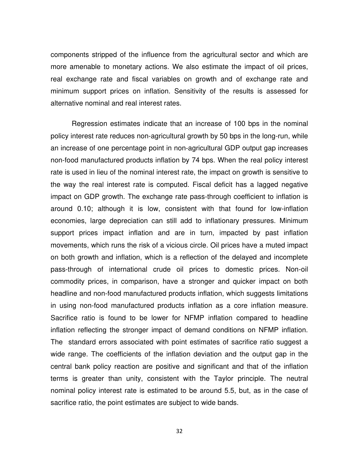components stripped of the influence from the agricultural sector and which are more amenable to monetary actions. We also estimate the impact of oil prices, real exchange rate and fiscal variables on growth and of exchange rate and minimum support prices on inflation. Sensitivity of the results is assessed for alternative nominal and real interest rates.

Regression estimates indicate that an increase of 100 bps in the nominal policy interest rate reduces non-agricultural growth by 50 bps in the long-run, while an increase of one percentage point in non-agricultural GDP output gap increases non-food manufactured products inflation by 74 bps. When the real policy interest rate is used in lieu of the nominal interest rate, the impact on growth is sensitive to the way the real interest rate is computed. Fiscal deficit has a lagged negative impact on GDP growth. The exchange rate pass-through coefficient to inflation is around 0.10; although it is low, consistent with that found for low-inflation economies, large depreciation can still add to inflationary pressures. Minimum support prices impact inflation and are in turn, impacted by past inflation movements, which runs the risk of a vicious circle. Oil prices have a muted impact on both growth and inflation, which is a reflection of the delayed and incomplete pass-through of international crude oil prices to domestic prices. Non-oil commodity prices, in comparison, have a stronger and quicker impact on both headline and non-food manufactured products inflation, which suggests limitations in using non-food manufactured products inflation as a core inflation measure. Sacrifice ratio is found to be lower for NFMP inflation compared to headline inflation reflecting the stronger impact of demand conditions on NFMP inflation. The standard errors associated with point estimates of sacrifice ratio suggest a wide range. The coefficients of the inflation deviation and the output gap in the central bank policy reaction are positive and significant and that of the inflation terms is greater than unity, consistent with the Taylor principle. The neutral nominal policy interest rate is estimated to be around 5.5, but, as in the case of sacrifice ratio, the point estimates are subject to wide bands.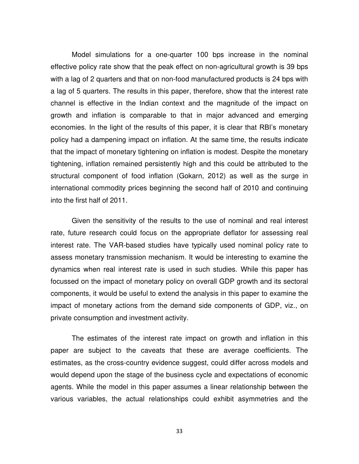Model simulations for a one-quarter 100 bps increase in the nominal effective policy rate show that the peak effect on non-agricultural growth is 39 bps with a lag of 2 quarters and that on non-food manufactured products is 24 bps with a lag of 5 quarters. The results in this paper, therefore, show that the interest rate channel is effective in the Indian context and the magnitude of the impact on growth and inflation is comparable to that in major advanced and emerging economies. In the light of the results of this paper, it is clear that RBI's monetary policy had a dampening impact on inflation. At the same time, the results indicate that the impact of monetary tightening on inflation is modest. Despite the monetary tightening, inflation remained persistently high and this could be attributed to the structural component of food inflation (Gokarn, 2012) as well as the surge in international commodity prices beginning the second half of 2010 and continuing into the first half of 2011.

Given the sensitivity of the results to the use of nominal and real interest rate, future research could focus on the appropriate deflator for assessing real interest rate. The VAR-based studies have typically used nominal policy rate to assess monetary transmission mechanism. It would be interesting to examine the dynamics when real interest rate is used in such studies. While this paper has focussed on the impact of monetary policy on overall GDP growth and its sectoral components, it would be useful to extend the analysis in this paper to examine the impact of monetary actions from the demand side components of GDP, viz., on private consumption and investment activity.

The estimates of the interest rate impact on growth and inflation in this paper are subject to the caveats that these are average coefficients. The estimates, as the cross-country evidence suggest, could differ across models and would depend upon the stage of the business cycle and expectations of economic agents. While the model in this paper assumes a linear relationship between the various variables, the actual relationships could exhibit asymmetries and the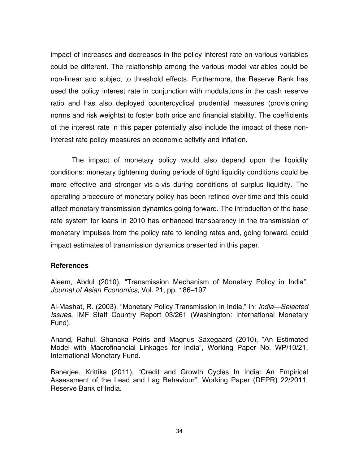impact of increases and decreases in the policy interest rate on various variables could be different. The relationship among the various model variables could be non-linear and subject to threshold effects. Furthermore, the Reserve Bank has used the policy interest rate in conjunction with modulations in the cash reserve ratio and has also deployed countercyclical prudential measures (provisioning norms and risk weights) to foster both price and financial stability. The coefficients of the interest rate in this paper potentially also include the impact of these noninterest rate policy measures on economic activity and inflation.

The impact of monetary policy would also depend upon the liquidity conditions: monetary tightening during periods of tight liquidity conditions could be more effective and stronger vis-a-vis during conditions of surplus liquidity. The operating procedure of monetary policy has been refined over time and this could affect monetary transmission dynamics going forward. The introduction of the base rate system for loans in 2010 has enhanced transparency in the transmission of monetary impulses from the policy rate to lending rates and, going forward, could impact estimates of transmission dynamics presented in this paper.

#### **References**

Aleem, Abdul (2010), "Transmission Mechanism of Monetary Policy in India", *Journal of Asian Economics*, Vol. 21, pp. 186–197

Al-Mashat, R. (2003), "Monetary Policy Transmission in India," in: *India—Selected Issues*, IMF Staff Country Report 03/261 (Washington: International Monetary Fund).

Anand, Rahul, Shanaka Peiris and Magnus Saxegaard (2010), "An Estimated Model with Macrofinancial Linkages for India", Working Paper No. WP/10/21, International Monetary Fund.

Banerjee, Krittika (2011), "Credit and Growth Cycles In India: An Empirical Assessment of the Lead and Lag Behaviour", Working Paper (DEPR) 22/2011, Reserve Bank of India.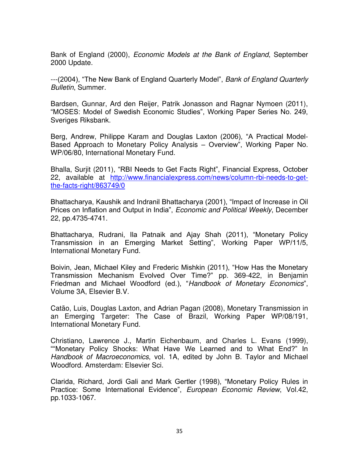Bank of England (2000), *Economic Models at the Bank of England*, September 2000 Update.

---(2004), "The New Bank of England Quarterly Model", *Bank of England Quarterly Bulletin*, Summer.

Bardsen, Gunnar, Ard den Reijer, Patrik Jonasson and Ragnar Nymoen (2011), "MOSES: Model of Swedish Economic Studies", Working Paper Series No. 249, Sveriges Riksbank.

Berg, Andrew, Philippe Karam and Douglas Laxton (2006), "A Practical Model-Based Approach to Monetary Policy Analysis – Overview", Working Paper No. WP/06/80, International Monetary Fund.

Bhalla, Surjit (2011), "RBI Needs to Get Facts Right", Financial Express, October 22, available at [http://www.financialexpress.com/news/column-rbi-needs-to-get](http://www.financialexpress.com/news/column-rbi-needs-to-get-the-facts-right/863749/0)[the-facts-right/863749/0](http://www.financialexpress.com/news/column-rbi-needs-to-get-the-facts-right/863749/0)

Bhattacharya, Kaushik and Indranil Bhattacharya (2001), "Impact of Increase in Oil Prices on Inflation and Output in India", *Economic and Political Weekly*, December 22, pp.4735-4741.

Bhattacharya, Rudrani, Ila Patnaik and Ajay Shah (2011), "Monetary Policy Transmission in an Emerging Market Setting", Working Paper WP/11/5, International Monetary Fund.

Boivin, Jean, Michael Kiley and Frederic Mishkin (2011), "How Has the Monetary Transmission Mechanism Evolved Over Time?" pp. 369-422, in Benjamin Friedman and Michael Woodford (ed.), "*Handbook of Monetary Economics*", Volume 3A, Elsevier B.V.

Catão, Luis, Douglas Laxton, and Adrian Pagan (2008), Monetary Transmission in an Emerging Targeter: The Case of Brazil, Working Paper WP/08/191, International Monetary Fund.

Christiano, Lawrence J., Martin Eichenbaum, and Charles L. Evans (1999), ""Monetary Policy Shocks: What Have We Learned and to What End?" In *Handbook of Macroeconomics*, vol. 1A, edited by John B. Taylor and Michael Woodford. Amsterdam: Elsevier Sci.

Clarida, Richard, Jordi Gali and Mark Gertler (1998), "Monetary Policy Rules in Practice: Some International Evidence", *European Economic Review*, Vol.42, pp.1033-1067.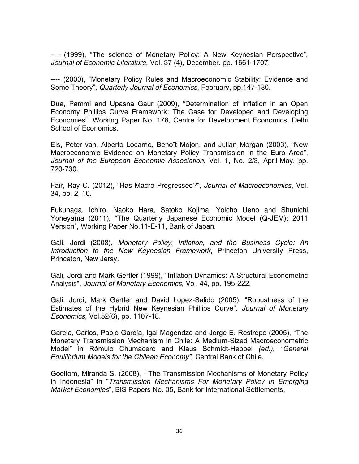---- (1999), "The science of Monetary Policy: A New Keynesian Perspective", *Journal of Economic Literature*, Vol. 37 (4), December, pp. 1661-1707.

---- (2000), "Monetary Policy Rules and Macroeconomic Stability: Evidence and Some Theory", *Quarterly Journal of Economics*, February, pp.147-180.

Dua, Pammi and Upasna Gaur (2009), "Determination of Inflation in an Open Economy Phillips Curve Framework: The Case for Developed and Developing Economies", Working Paper No. 178, Centre for Development Economics, Delhi School of Economics.

Els, Peter van, Alberto Locarno, Benoît Mojon, and Julian Morgan (2003), "New Macroeconomic Evidence on Monetary Policy Transmission in the Euro Area", *Journal of the European Economic Association*, Vol. 1, No. 2/3, April-May, pp. 720-730.

Fair, Ray C. (2012), "Has Macro Progressed?", *Journal of Macroeconomics*, Vol. 34, pp. 2–10.

Fukunaga, Ichiro, Naoko Hara, Satoko Kojima, Yoicho Ueno and Shunichi Yoneyama (2011), "The Quarterly Japanese Economic Model (Q-JEM): 2011 Version", Working Paper No.11-E-11, Bank of Japan.

Gali, Jordi (2008), *Monetary Policy, Inflation, and the Business Cycle: An Introduction to the New Keynesian Framework*, Princeton University Press, Princeton, New Jersy.

Gali, Jordi and Mark Gertler (1999), "Inflation Dynamics: A Structural Econometric Analysis", *Journal of Monetary Economics*, Vol. 44, pp. 195-222.

Gali, Jordi, Mark Gertler and David Lopez-Salido (2005), "Robustness of the Estimates of the Hybrid New Keynesian Phillips Curve", *Journal of Monetary Economics*, Vol.52(6), pp. 1107-18.

García, Carlos, Pablo García, Igal Magendzo and Jorge E. Restrepo (2005), "The Monetary Transmission Mechanism in Chile: A Medium-Sized Macroeconometric Model" in Rómulo Chumacero and Klaus Schmidt-Hebbel *(ed.), "General Equilibrium Models for the Chilean Economy",* Central Bank of Chile.

Goeltom, Miranda S. (2008), " The Transmission Mechanisms of Monetary Policy in Indonesia" in "*Transmission Mechanisms For Monetary Policy In Emerging Market Economies*", BIS Papers No. 35, Bank for International Settlements.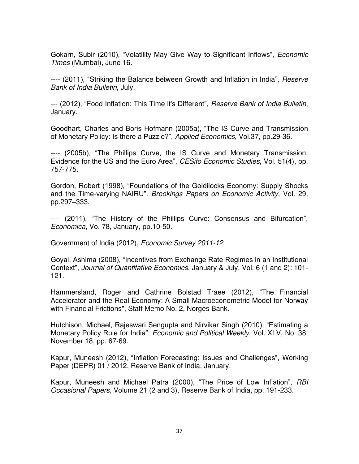Gokarn, Subir (2010), "Volatility May Give Way to Significant Inflows", *Economic Times* (Mumbai), June 16.

---- (2011), "Striking the Balance between Growth and Inflation in India", *Reserve Bank of India Bulletin*, July.

--- (2012), "Food Inflation: This Time it's Different", *Reserve Bank of India Bulletin*, January.

Goodhart, Charles and Boris Hofmann (2005a), "The IS Curve and Transmission of Monetary Policy: Is there a Puzzle?", *Applied Economics*, Vol.37, pp.29-36.

---- (2005b), "The Phillips Curve, the IS Curve and Monetary Transmission: Evidence for the US and the Euro Area", *CESifo Economic Studies*, Vol. 51(4), pp. 757-775.

Gordon, Robert (1998), "Foundations of the Goldilocks Economy: Supply Shocks and the Time-varying NAIRU". *Brookings Papers on Economic Activity*, Vol. 29, pp.297–333.

---- (2011), "The History of the Phillips Curve: Consensus and Bifurcation", *Economica*, Vo. 78, January, pp.10-50.

Government of India (2012), *Economic Survey 2011-12*.

Goyal, Ashima (2008), "Incentives from Exchange Rate Regimes in an Institutional Context", *Journal of Quantitative Economics*, January & July, Vol. 6 (1 and 2): 101- 121.

Hammersland, Roger and Cathrine Bolstad Traee (2012), "The Financial Accelerator and the Real Economy: A Small Macroeconometric Model for Norway with Financial Frictions", Staff Memo No. 2, Norges Bank.

Hutchison, Michael, Rajeswari Sengupta and Nirvikar Singh (2010), "Estimating a Monetary Policy Rule for India", *Economic and Political Weekly*, Vol. XLV, No. 38, November 18, pp. 67-69.

Kapur, Muneesh (2012), "Inflation Forecasting: Issues and Challenges", Working Paper (DEPR) 01 / 2012, Reserve Bank of India, January.

Kapur, Muneesh and Michael Patra (2000), "The Price of Low Inflation", *RBI Occasional Papers*, Volume 21 (2 and 3), Reserve Bank of India, pp. 191-233.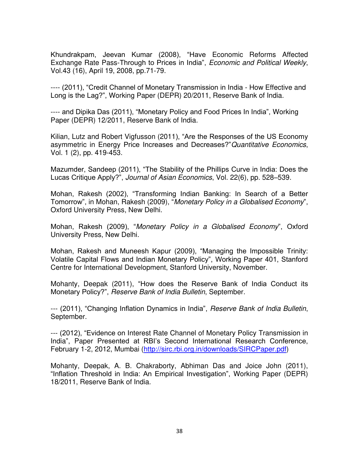Khundrakpam, Jeevan Kumar (2008), "Have Economic Reforms Affected Exchange Rate Pass-Through to Prices in India", *Economic and Political Weekly*, Vol.43 (16), April 19, 2008, pp.71-79.

---- (2011), "Credit Channel of Monetary Transmission in India - How Effective and Long is the Lag?", Working Paper (DEPR) 20/2011, Reserve Bank of India.

---- and Dipika Das (2011), "Monetary Policy and Food Prices In India", Working Paper (DEPR) 12/2011, Reserve Bank of India.

Kilian, Lutz and Robert Vigfusson (2011), "Are the Responses of the US Economy asymmetric in Energy Price Increases and Decreases?"*Quantitative Economics*, Vol. 1 (2), pp. 419-453.

Mazumder, Sandeep (2011), "The Stability of the Phillips Curve in India: Does the Lucas Critique Apply?", *Journal of Asian Economics*, Vol. 22(6), pp. 528–539.

Mohan, Rakesh (2002), "Transforming Indian Banking: In Search of a Better Tomorrow", in Mohan, Rakesh (2009), "*Monetary Policy in a Globalised Economy*", Oxford University Press, New Delhi.

Mohan, Rakesh (2009), "*Monetary Policy in a Globalised Economy*", Oxford University Press, New Delhi.

Mohan, Rakesh and Muneesh Kapur (2009), "Managing the Impossible Trinity: Volatile Capital Flows and Indian Monetary Policy", Working Paper 401, Stanford Centre for International Development, Stanford University, November.

Mohanty, Deepak (2011), "How does the Reserve Bank of India Conduct its Monetary Policy?", *Reserve Bank of India Bulletin*, September.

--- (2011), "Changing Inflation Dynamics in India", *Reserve Bank of India Bulletin*, September.

--- (2012), "Evidence on Interest Rate Channel of Monetary Policy Transmission in India", Paper Presented at RBI's Second International Research Conference, February 1-2, 2012, Mumbai [\(http://sirc.rbi.org.in/downloads/SIRCPaper.pdf\)](http://sirc.rbi.org.in/downloads/SIRCPaper.pdf)

Mohanty, Deepak, A. B. Chakraborty, Abhiman Das and Joice John (2011), "Inflation Threshold in India: An Empirical Investigation", Working Paper (DEPR) 18/2011, Reserve Bank of India.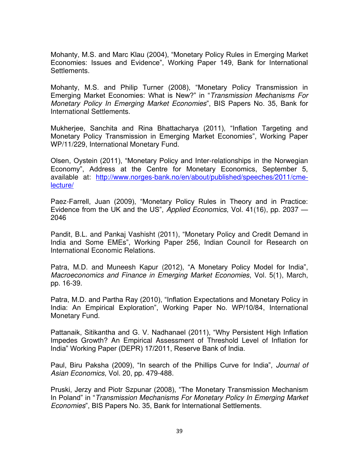Mohanty, M.S. and Marc Klau (2004), "Monetary Policy Rules in Emerging Market Economies: Issues and Evidence", Working Paper 149, Bank for International Settlements.

Mohanty, M.S. and Philip Turner (2008), "Monetary Policy Transmission in Emerging Market Economies: What is New?" in "*Transmission Mechanisms For Monetary Policy In Emerging Market Economies*", BIS Papers No. 35, Bank for International Settlements.

Mukherjee, Sanchita and Rina Bhattacharya (2011), "Inflation Targeting and Monetary Policy Transmission in Emerging Market Economies", Working Paper WP/11/229, International Monetary Fund.

Olsen, Oystein (2011), "Monetary Policy and Inter-relationships in the Norwegian Economy", Address at the Centre for Monetary Economics, September 5, available at: [http://www.norges-bank.no/en/about/published/speeches/2011/cme](http://www.norges-bank.no/en/about/published/speeches/2011/cme-lecture/)[lecture/](http://www.norges-bank.no/en/about/published/speeches/2011/cme-lecture/)

Paez-Farrell, Juan (2009), "Monetary Policy Rules in Theory and in Practice: Evidence from the UK and the US", *Applied Economics*, Vol. 41(16), pp. 2037 — 2046

Pandit, B.L. and Pankaj Vashisht (2011), "Monetary Policy and Credit Demand in India and Some EMEs", Working Paper 256, Indian Council for Research on International Economic Relations.

Patra, M.D. and Muneesh Kapur (2012), "A Monetary Policy Model for India", *Macroeconomics and Finance in Emerging Market Economies*, Vol. 5(1), March, pp. 16-39.

Patra, M.D. and Partha Ray (2010), "Inflation Expectations and Monetary Policy in India: An Empirical Exploration", Working Paper No. WP/10/84, International Monetary Fund.

Pattanaik, Sitikantha and G. V. Nadhanael (2011), "Why Persistent High Inflation Impedes Growth? An Empirical Assessment of Threshold Level of Inflation for India" Working Paper (DEPR) 17/2011, Reserve Bank of India.

Paul, Biru Paksha (2009), "In search of the Phillips Curve for India", *Journal of Asian Economics*, Vol. 20, pp. 479-488.

Pruski, Jerzy and Piotr Szpunar (2008), "The Monetary Transmission Mechanism In Poland" in "*Transmission Mechanisms For Monetary Policy In Emerging Market Economies*", BIS Papers No. 35, Bank for International Settlements.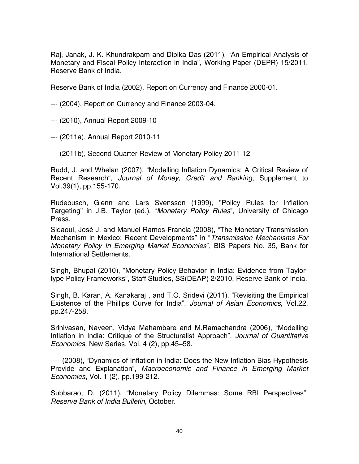Raj, Janak, J. K. Khundrakpam and Dipika Das (2011), "An Empirical Analysis of Monetary and Fiscal Policy Interaction in India", Working Paper (DEPR) 15/2011, Reserve Bank of India.

Reserve Bank of India (2002), Report on Currency and Finance 2000-01.

--- (2004), Report on Currency and Finance 2003-04.

--- (2010), Annual Report 2009-10

--- (2011a), Annual Report 2010-11

--- (2011b), Second Quarter Review of Monetary Policy 2011-12

Rudd, J. and Whelan (2007), "Modelling Inflation Dynamics: A Critical Review of Recent Research", *Journal of Money, Credit and Banking*, Supplement to Vol.39(1), pp.155-170.

Rudebusch, Glenn and Lars Svensson (1999), "Policy Rules for Inflation Targeting" in J.B. Taylor (ed.), "*Monetary Policy Rules*", University of Chicago Press.

Sidaoui, José J. and Manuel Ramos-Francia (2008), "The Monetary Transmission Mechanism in Mexico: Recent Developments" in "*Transmission Mechanisms For Monetary Policy In Emerging Market Economies*", BIS Papers No. 35, Bank for International Settlements.

Singh, Bhupal (2010), "Monetary Policy Behavior in India: Evidence from Taylortype Policy Frameworks", Staff Studies, SS(DEAP) 2/2010, Reserve Bank of India.

Singh, B. Karan, A. Kanakaraj , and T.O. Sridevi (2011), "Revisiting the Empirical Existence of the Phillips Curve for India", *Journal of Asian Economics*, Vol.22, pp.247-258.

Srinivasan, Naveen, Vidya Mahambare and M.Ramachandra (2006), "Modelling Inflation in India: Critique of the Structuralist Approach", *Journal of Quantitative Economics*, New Series, Vol. 4 (2), pp.45–58.

---- (2008), "Dynamics of Inflation in India: Does the New Inflation Bias Hypothesis Provide and Explanation", *Macroeconomic and Finance in Emerging Market Economies*, Vol. 1 (2), pp.199-212.

Subbarao, D. (2011), "Monetary Policy Dilemmas: Some RBI Perspectives", *Reserve Bank of India Bulletin*, October.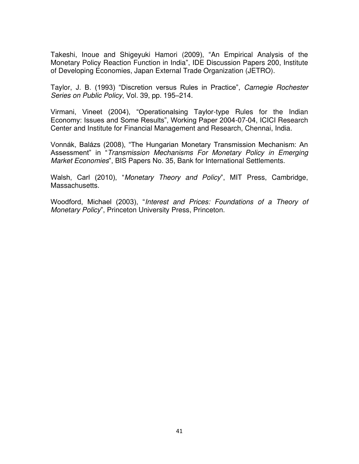Takeshi, Inoue and Shigeyuki Hamori (2009), "[An Empirical Analysis of the](http://ideas.repec.org/p/jet/dpaper/dpaper200.html)  [Monetary Policy Reaction Function in India](http://ideas.repec.org/p/jet/dpaper/dpaper200.html)", [IDE Discussion Papers](http://ideas.repec.org/s/jet/dpaper.html) 200, Institute of Developing Economies, Japan External Trade Organization (JETRO).

Taylor, J. B. (1993) "Discretion versus Rules in Practice", *Carnegie Rochester Series on Public Policy*, Vol. 39, pp. 195–214.

Virmani, Vineet (2004), "Operationalsing Taylor-type Rules for the Indian Economy: Issues and Some Results", Working Paper 2004-07-04, ICICI Research Center and Institute for Financial Management and Research, Chennai, India.

Vonnák, Balázs (2008), "The Hungarian Monetary Transmission Mechanism: An Assessment" in "*Transmission Mechanisms For Monetary Policy in Emerging Market Economies*", BIS Papers No. 35, Bank for International Settlements.

Walsh, Carl (2010), "*Monetary Theory and Policy*", MIT Press, Cambridge, Massachusetts.

Woodford, Michael (2003), "*Interest and Prices: Foundations of a Theory of Monetary Policy*", Princeton University Press, Princeton.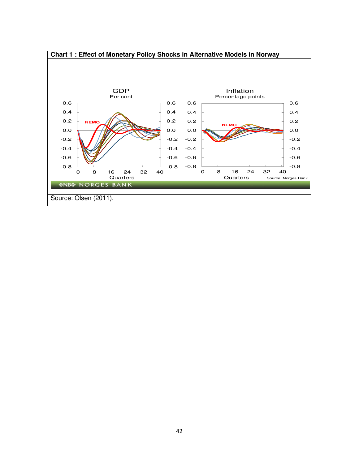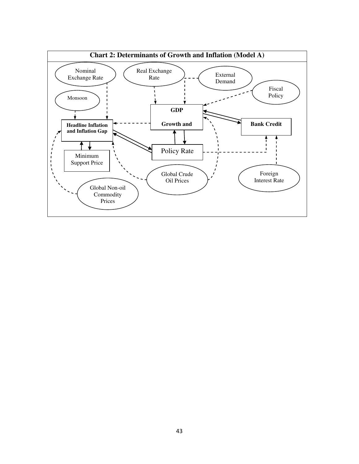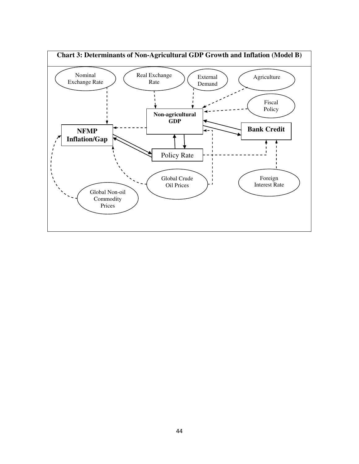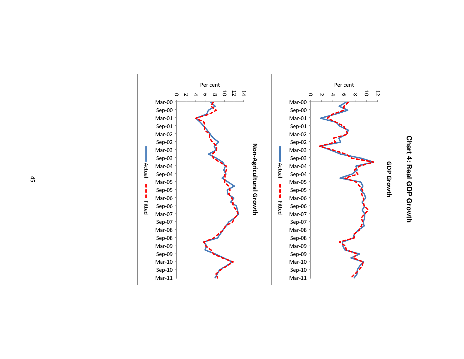

Chart 4: Real GDP Growth **Chart 4: Real GDP Growth**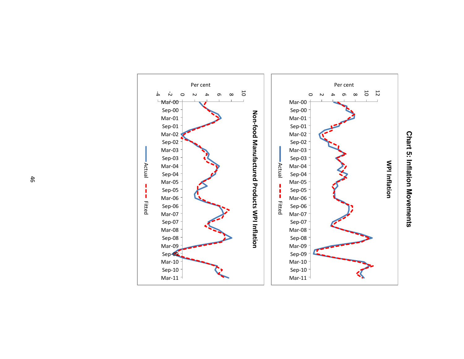

![](_page_48_Figure_1.jpeg)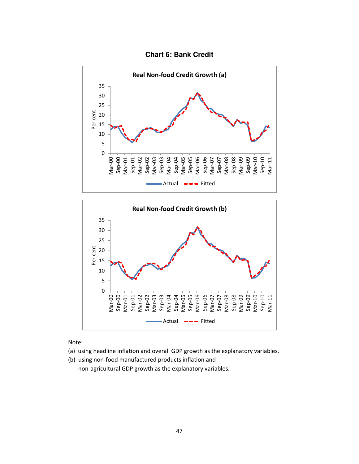![](_page_49_Figure_0.jpeg)

![](_page_49_Figure_1.jpeg)

Note:

- (a) using headline inflation and overall GDP growth as the explanatory variables.
- (b) using non-food manufactured products inflation and non-agricultural GDP growth as the explanatory variables.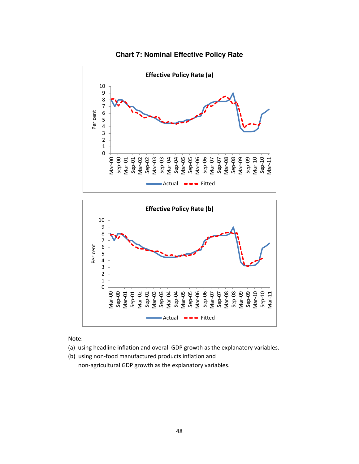![](_page_50_Figure_0.jpeg)

![](_page_50_Figure_1.jpeg)

![](_page_50_Figure_2.jpeg)

Note:

- (a) using headline inflation and overall GDP growth as the explanatory variables.
- (b) using non-food manufactured products inflation and non-agricultural GDP growth as the explanatory variables.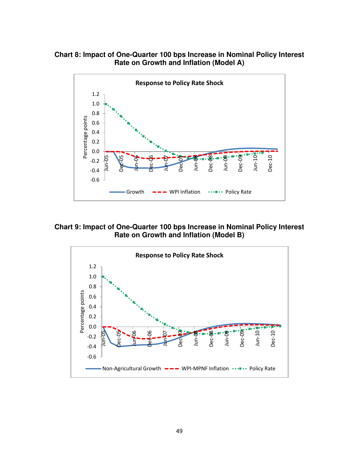**Chart 8: Impact of One-Quarter 100 bps Increase in Nominal Policy Interest Rate on Growth and Inflation (Model A)** 

![](_page_51_Figure_1.jpeg)

**Chart 9: Impact of One-Quarter 100 bps Increase in Nominal Policy Interest Rate on Growth and Inflation (Model B)** 

![](_page_51_Figure_3.jpeg)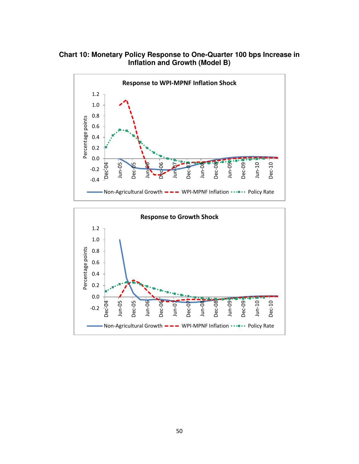**Chart 10: Monetary Policy Response to One-Quarter 100 bps Increase in Inflation and Growth (Model B)** 

![](_page_52_Figure_1.jpeg)

![](_page_52_Figure_2.jpeg)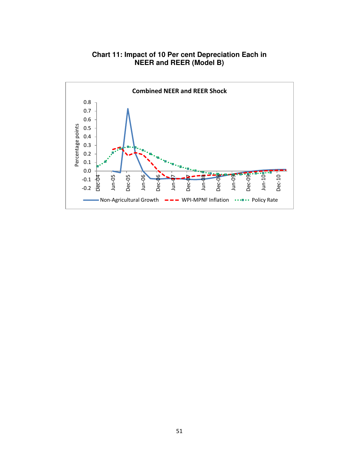![](_page_53_Figure_0.jpeg)

## **Chart 11: Impact of 10 Per cent Depreciation Each in NEER and REER (Model B)**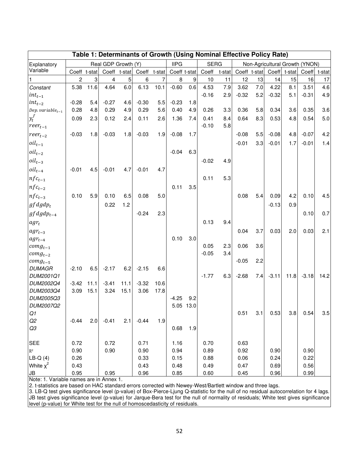| Table 1: Determinants of Growth (Using Nominal Effective Policy Rate) |              |      |                     |              |         |              |              |           |             |        |         |     |                                |      |              |      |
|-----------------------------------------------------------------------|--------------|------|---------------------|--------------|---------|--------------|--------------|-----------|-------------|--------|---------|-----|--------------------------------|------|--------------|------|
| Explanatory                                                           |              |      | Real GDP Growth (Y) |              |         |              | <b>IIPG</b>  |           | <b>SERG</b> |        |         |     | Non-Agricultural Growth (YNON) |      |              |      |
| Variable                                                              | Coeff t-stat |      |                     | Coeff t-stat |         | Coeff t-stat | Coeff t-stat |           | Coeff       | t-stat |         |     | Coeff t-stat Coeff t-stat      |      | Coeff t-stat |      |
|                                                                       | 2            | 3    | 4                   | 5            | 6       | 7            | 8            | 9         | 10          | 11     | 12      | 13  | 14                             | 15   | 16           | 17   |
| Constant                                                              | 5.38         | 11.6 | 4.64                | 6.0          | 6.13    | 10.1         | $-0.60$      | 0.6       | 4.53        | 7.9    | 3.62    | 7.0 | 4.22                           | 8.1  | 3.51         | 4.6  |
| $int_{t-1}$                                                           |              |      |                     |              |         |              |              |           | $-0.16$     | 2.9    | $-0.32$ | 5.2 | $-0.32$                        | 5.1  | $-0.31$      | 4.9  |
| $int_{t-2}$                                                           | $-0.28$      | 5.4  | $-0.27$             | 4.6          | $-0.30$ | 5.5          | $-0.23$      | 1.8       |             |        |         |     |                                |      |              |      |
| Dep. variable $_{t-1}$                                                | 0.28         | 4.8  | 0.29                | 4.9          | 0.29    | 5.6          | 0.40         | 4.9       | 0.26        | 3.3    | 0.36    | 5.8 | 0.34                           | 3.6  | 0.35         | 3.6  |
| $y_t^f$                                                               | 0.09         | 2.3  | 0.12                | 2.4          | 0.11    | 2.6          | 1.36         | 7.4       | 0.41        | 8.4    | 0.64    | 8.3 | 0.53                           | 4.8  | 0.54         | 5.0  |
| $reer_{t-1}$                                                          |              |      |                     |              |         |              |              |           | $-0.10$     | 5.8    |         |     |                                |      |              |      |
| $reer_{t-2}$                                                          | $-0.03$      | 1.8  | $-0.03$             | 1.8          | $-0.03$ | 1.9          | $-0.08$      | 1.7       |             |        | $-0.08$ | 5.5 | $-0.08$                        | 4.8  | $-0.07$      | 4.2  |
| $oil_{t-1}$                                                           |              |      |                     |              |         |              |              |           |             |        | $-0.01$ | 3.3 | $-0.01$                        | 1.7  | $-0.01$      | 1.4  |
| $oil_{t-2}$                                                           |              |      |                     |              |         |              | $-0.04$      | 6.3       |             |        |         |     |                                |      |              |      |
| $oil_{t-3}$                                                           |              |      |                     |              |         |              |              |           | $-0.02$     | 4.9    |         |     |                                |      |              |      |
| $oil_{t-4}$                                                           | $-0.01$      | 4.5  | $-0.01$             | 4.7          | $-0.01$ | 4.7          |              |           |             |        |         |     |                                |      |              |      |
| $nf c_{t-1}$                                                          |              |      |                     |              |         |              |              |           | 0.11        | 5.3    |         |     |                                |      |              |      |
| $nfc_{t-2}$                                                           |              |      |                     |              |         |              | 0.11         | 3.5       |             |        |         |     |                                |      |              |      |
| $nf c_{t-3}$                                                          | 0.10         | 5.9  | 0.10                | 6.5          | 0.08    | 5.0          |              |           |             |        | 0.08    | 5.4 | 0.09                           | 4.2  | 0.10         | 4.5  |
| $gfdgdp_t$                                                            |              |      | 0.22                | 1.2          |         |              |              |           |             |        |         |     | $-0.13$                        | 0.9  |              |      |
| $gfdgdp_{t-4}$                                                        |              |      |                     |              | $-0.24$ | 2.3          |              |           |             |        |         |     |                                |      | 0.10         | 0.7  |
| $agr_t$                                                               |              |      |                     |              |         |              |              |           | 0.13        | 9.4    |         |     |                                |      |              |      |
| $agr_{t-3}$                                                           |              |      |                     |              |         |              |              |           |             |        | 0.04    | 3.7 | 0.03                           | 2.0  | 0.03         | 2.1  |
| $agr_{t-4}$                                                           |              |      |                     |              |         |              | 0.10         | 3.0       |             |        |         |     |                                |      |              |      |
| $\textit{comg}_{t-1}$                                                 |              |      |                     |              |         |              |              |           | 0.05        | 2.3    | 0.06    | 3.6 |                                |      |              |      |
| $comp_{t-2}$                                                          |              |      |                     |              |         |              |              |           | $-0.05$     | 3.4    |         |     |                                |      |              |      |
| $comp_{t-5}$                                                          |              |      |                     |              |         |              |              |           |             |        | $-0.05$ | 2.2 |                                |      |              |      |
| <b>DUMAGR</b>                                                         | $-2.10$      | 6.5  | $-2.17$             | 6.2          | $-2.15$ | 6.6          |              |           |             |        |         |     |                                |      |              |      |
| DUM2001Q1                                                             |              |      |                     |              |         |              |              |           | $-1.77$     | 6.3    | $-2.68$ | 7.4 | $-3.11$                        | 11.8 | $-3.18$      | 14.2 |
| DUM2002Q4                                                             | $-3.42$      | 11.1 | $-3.41$             | 11.1         | $-3.32$ | 10.6         |              |           |             |        |         |     |                                |      |              |      |
| DUM2003Q4                                                             | 3.09         | 15.1 | 3.24                | 15.1         | 3.06    | 17.8         |              |           |             |        |         |     |                                |      |              |      |
| DUM2005Q3                                                             |              |      |                     |              |         |              | $-4.25$      | 9.2       |             |        |         |     |                                |      |              |      |
| DUM2007Q2                                                             |              |      |                     |              |         |              |              | 5.05 13.0 |             |        |         |     |                                |      |              |      |
| Q1                                                                    |              |      |                     |              |         |              |              |           |             |        | 0.51    | 3.1 | 0.53                           | 3.8  | 0.54         | 3.5  |
| Q2<br>Q3                                                              | $-0.44$      | 2.0  | $-0.41$             | 2.1          | $-0.44$ | 1.9          | 0.68         | 1.9       |             |        |         |     |                                |      |              |      |
|                                                                       |              |      |                     |              |         |              |              |           |             |        |         |     |                                |      |              |      |
| SEE                                                                   | 0.72         |      | 0.72                |              | 0.71    |              | 1.16         |           | 0.70        |        | 0.63    |     |                                |      |              |      |
| $\overline{R}^2$                                                      | 0.90         |      | 0.90                |              | 0.90    |              | 0.94         |           | 0.89        |        | 0.92    |     | 0.90                           |      | 0.90         |      |
| $LB-Q(4)$                                                             | 0.26         |      |                     |              | 0.33    |              | 0.15         |           | 0.88        |        | 0.06    |     | 0.24                           |      | 0.22         |      |
| White $x^2$                                                           | 0.43         |      |                     |              | 0.43    |              | 0.48         |           | 0.49        |        | 0.47    |     | 0.69                           |      | 0.56         |      |
| JB                                                                    | 0.95         |      | 0.95                |              | 0.96    |              | 0.85         |           | 0.60        |        | 0.45    |     | 0.96                           |      | 0.99         |      |

Note: 1. Variable names are in Annex 1.

2. t-statistics are based on HAC standard errors corrected with Newey-West/Bartlett window and three lags.

3. LB-Q test gives significance level (p-value) of Box-Pierce-Ljung Q-statistic for the null of no residual autocorrelation for 4 lags. JB test gives significance level (p-value) for Jarque-Bera test for the null of normality of residuals; White test gives significance level (p-value) for White test for the null of homoscedasticity of residuals.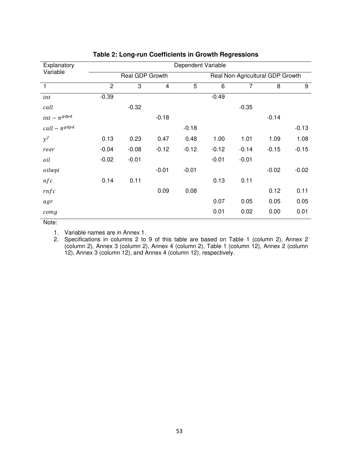| Explanatory        | Dependent Variable |                 |         |         |         |                                  |         |         |  |  |  |  |  |
|--------------------|--------------------|-----------------|---------|---------|---------|----------------------------------|---------|---------|--|--|--|--|--|
| Variable           |                    | Real GDP Growth |         |         |         | Real Non-Agricultural GDP Growth |         |         |  |  |  |  |  |
| $\overline{1}$     | $\overline{c}$     | 3               | 4       | 5       | 6       | 7                                | 8       | 9       |  |  |  |  |  |
| int                | $-0.39$            |                 |         |         | $-0.49$ |                                  |         |         |  |  |  |  |  |
| call               |                    | $-0.32$         |         |         |         | $-0.35$                          |         |         |  |  |  |  |  |
| $int - \pi^{gdpd}$ |                    |                 | $-0.18$ |         |         |                                  | $-0.14$ |         |  |  |  |  |  |
| $call-\pi^{gdpd}$  |                    |                 |         | $-0.18$ |         |                                  |         | $-0.13$ |  |  |  |  |  |
| $y^f$              | 0.13               | 0.23            | 0.47    | 0.48    | 1.00    | 1.01                             | 1.09    | 1.08    |  |  |  |  |  |
| reer               | $-0.04$            | $-0.08$         | $-0.12$ | $-0.12$ | $-0.12$ | $-0.14$                          | $-0.15$ | $-0.15$ |  |  |  |  |  |
| oil                | $-0.02$            | $-0.01$         |         |         | $-0.01$ | $-0.01$                          |         |         |  |  |  |  |  |
| oilwpi             |                    |                 | $-0.01$ | $-0.01$ |         |                                  | $-0.02$ | $-0.02$ |  |  |  |  |  |
| nfc                | 0.14               | 0.11            |         |         | 0.13    | 0.11                             |         |         |  |  |  |  |  |
| rnfc               |                    |                 | 0.09    | 0.08    |         |                                  | 0.12    | 0.11    |  |  |  |  |  |
| agr                |                    |                 |         |         | 0.07    | 0.05                             | 0.05    | 0.05    |  |  |  |  |  |
| comg               |                    |                 |         |         | 0.01    | 0.02                             | 0.00    | 0.01    |  |  |  |  |  |

#### **Table 2: Long-run Coefficients in Growth Regressions**

Note:

1. Variable names are in Annex 1.

2. Specifications in columns 2 to 9 of this table are based on Table 1 (column 2), Annex 2 (column 2), Annex 3 (column 2), Annex 4 (column 2), Table 1 (column 12), Annex 2 (column 12), Annex 3 (column 12), and Annex 4 (column 12), respectively.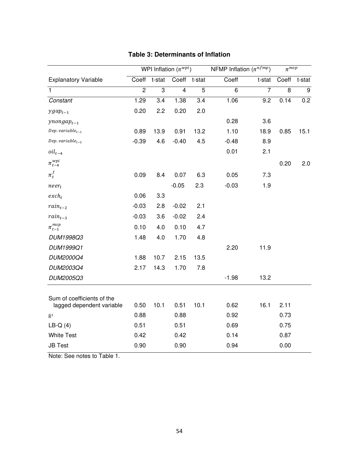|                                                         |                |        | WPI Inflation $(\pi^{wpi})$ |        | NFMP Inflation $(\pi^{nfmp})$ |                | $\pi^{msp}$ |                  |  |
|---------------------------------------------------------|----------------|--------|-----------------------------|--------|-------------------------------|----------------|-------------|------------------|--|
| <b>Explanatory Variable</b>                             | Coeff          | t-stat | Coeff                       | t-stat | Coeff                         | t-stat         | Coeff       | t-stat           |  |
| $\mathbf{1}$                                            | $\overline{2}$ | 3      | $\overline{\mathbf{4}}$     | 5      | 6                             | $\overline{7}$ | 8           | $\boldsymbol{9}$ |  |
| Constant                                                | 1.29           | 3.4    | 1.38                        | 3.4    | 1.06                          | 9.2            | 0.14        | 0.2              |  |
| $ygap_{t-1}$                                            | 0.20           | 2.2    | 0.20                        | 2.0    |                               |                |             |                  |  |
| $y$ nonga $p_{t-1}$                                     |                |        |                             |        | 0.28                          | 3.6            |             |                  |  |
| Dep. variable <sub>t-1</sub>                            | 0.89           | 13.9   | 0.91                        | 13.2   | 1.10                          | 18.9           | 0.85        | 15.1             |  |
| Dep. variable $_{t-2}$                                  | $-0.39$        | 4.6    | $-0.40$                     | 4.5    | $-0.48$                       | 8.9            |             |                  |  |
| $oil_{t-4}$                                             |                |        |                             |        | 0.01                          | 2.1            |             |                  |  |
| $\pi_{t-4}^{wpi}$                                       |                |        |                             |        |                               |                | 0.20        | 2.0              |  |
| $\pi_t^f$                                               | 0.09           | 8.4    | 0.07                        | 6.3    | 0.05                          | 7.3            |             |                  |  |
| $neer_t$                                                |                |        | $-0.05$                     | 2.3    | $-0.03$                       | 1.9            |             |                  |  |
| $exch_t$                                                | 0.06           | 3.3    |                             |        |                               |                |             |                  |  |
| $rain_{t-2}$                                            | $-0.03$        | 2.8    | $-0.02$                     | 2.1    |                               |                |             |                  |  |
| $rain_{t-3}$                                            | $-0.03$        | 3.6    | $-0.02$                     | 2.4    |                               |                |             |                  |  |
| $\pi^{msp}_{t-1}$                                       | 0.10           | 4.0    | 0.10                        | 4.7    |                               |                |             |                  |  |
| DUM1998Q3                                               | 1.48           | 4.0    | 1.70                        | 4.8    |                               |                |             |                  |  |
| DUM1999Q1                                               |                |        |                             |        | 2.20                          | 11.9           |             |                  |  |
| DUM2000Q4                                               | 1.88           | 10.7   | 2.15                        | 13.5   |                               |                |             |                  |  |
| DUM2003Q4                                               | 2.17           | 14.3   | 1.70                        | 7.8    |                               |                |             |                  |  |
| DUM2005Q3                                               |                |        |                             |        | $-1.98$                       | 13.2           |             |                  |  |
|                                                         |                |        |                             |        |                               |                |             |                  |  |
| Sum of coefficients of the<br>lagged dependent variable | 0.50           | 10.1   | 0.51                        | 10.1   | 0.62                          | 16.1           | 2.11        |                  |  |
| $\overline{\mathrm{R}}{}^2$                             | 0.88           |        | 0.88                        |        | 0.92                          |                | 0.73        |                  |  |
| $LB-Q(4)$                                               | 0.51           |        | 0.51                        |        | 0.69                          |                | 0.75        |                  |  |
| <b>White Test</b>                                       | 0.42           |        | 0.42                        |        | 0.14                          |                | 0.87        |                  |  |
| <b>JB Test</b>                                          | 0.90           |        | 0.90                        |        | 0.94                          |                | 0.00        |                  |  |

## **Table 3: Determinants of Inflation**

Note: See notes to Table 1.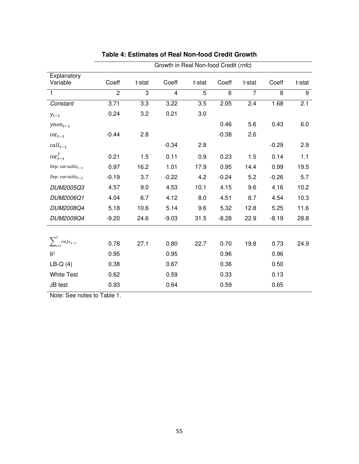|                            |                |        | Growth in Real Non-food Credit (rnfc) |        |         |                |         |        |
|----------------------------|----------------|--------|---------------------------------------|--------|---------|----------------|---------|--------|
| Explanatory<br>Variable    | Coeff          | t-stat | Coeff                                 | t-stat | Coeff   | t-stat         | Coeff   | t-stat |
| 1                          | $\overline{2}$ | 3      | $\overline{\mathbf{4}}$               | 5      | 6       | $\overline{7}$ | 8       | 9      |
| Constant                   | 3.71           | 3.3    | 3.22                                  | 3.5    | 2.05    | 2.4            | 1.68    | 2.1    |
| $y_{t-1}$                  | 0.24           | 3.2    | 0.21                                  | 3.0    |         |                |         |        |
| $y non_{t-1}$              |                |        |                                       |        | 0.46    | 5.6            | 0.43    | 6.0    |
| $int_{t-1}$                | $-0.44$        | 2.8    |                                       |        | $-0.38$ | 2.6            |         |        |
| $call_{t-1}$               |                |        | $-0.34$                               | 2.8    |         |                | $-0.29$ | 2.9    |
| $int_{t-1}^{f}$            | 0.21           | 1.5    | 0.11                                  | 0.9    | 0.23    | 1.5            | 0.14    | 1.1    |
| Dep. variable $_{t-1}$     | 0.97           | 16.2   | 1.01                                  | 17.9   | 0.95    | 14.4           | 0.99    | 19.5   |
| Dep. variable $_{t-2}$     | $-0.19$        | 3.7    | $-0.22$                               | 4.2    | $-0.24$ | 5.2            | $-0.26$ | 5.7    |
| DUM2005Q3                  | 4.57           | 9.0    | 4.53                                  | 10.1   | 4.15    | 9.6            | 4.16    | 10.2   |
| DUM2006Q1                  | 4.04           | 6.7    | 4.12                                  | 8.0    | 4.51    | 8.7            | 4.54    | 10.3   |
| DUM2008Q4                  | 5.18           | 10.6   | 5.14                                  | 9.6    | 5.32    | 12.8           | 5.25    | 11.6   |
| DUM2009Q4                  | $-9.20$        | 24.6   | $-9.03$                               | 31.5   | $-8.28$ | 22.9           | $-8.19$ | 28.8   |
|                            |                |        |                                       |        |         |                |         |        |
| $\sum_{i=1}^{2}rnfc_{t-i}$ | 0.78           | 27.1   | 0.80                                  | 22.7   | 0.70    | 19.8           | 0.73    | 24.9   |
| $\overline{\mathsf{R}}^2$  | 0.95           |        | 0.95                                  |        | 0.96    |                | 0.96    |        |
| $LB-Q(4)$                  | 0.38           |        | 0.67                                  |        | 0.36    |                | 0.50    |        |
| <b>White Test</b>          | 0.62           |        | 0.59                                  |        | 0.33    |                | 0.13    |        |
| JB test                    | 0.93           |        | 0.64                                  |        | 0.59    |                | 0.65    |        |

# **Table 4: Estimates of Real Non-food Credit Growth**

Note: See notes to Table 1.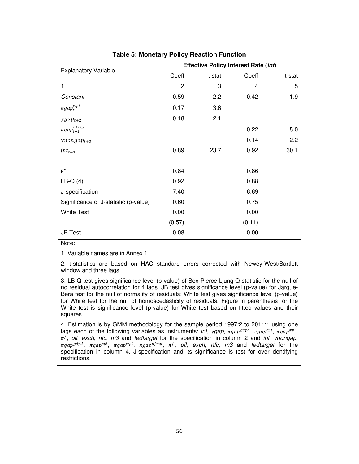| <b>Explanatory Variable</b>           |                |        | <b>Effective Policy Interest Rate (int)</b> |        |
|---------------------------------------|----------------|--------|---------------------------------------------|--------|
|                                       | Coeff          | t-stat | Coeff                                       | t-stat |
| $\mathbf{1}$                          | $\overline{c}$ | 3      | 4                                           | 5      |
| Constant                              | 0.59           | 2.2    | 0.42                                        | 1.9    |
| $\pi gap_{t+2}^{wpi}$                 | 0.17           | 3.6    |                                             |        |
| $ygap_{t+2}$                          | 0.18           | 2.1    |                                             |        |
| $\pi gap_{t+2}^{nfmp}$                |                |        | 0.22                                        | 5.0    |
| $y$ nonga $p_{t+2}$                   |                |        | 0.14                                        | 2.2    |
| $int_{t-1}$                           | 0.89           | 23.7   | 0.92                                        | 30.1   |
|                                       |                |        |                                             |        |
| $\overline{R}^2$                      | 0.84           |        | 0.86                                        |        |
| $LB-Q(4)$                             | 0.92           |        | 0.88                                        |        |
| J-specification                       | 7.40           |        | 6.69                                        |        |
| Significance of J-statistic (p-value) | 0.60           |        | 0.75                                        |        |
| <b>White Test</b>                     | 0.00           |        | 0.00                                        |        |
|                                       | (0.57)         |        | (0.11)                                      |        |
| <b>JB Test</b>                        | 0.08           |        | 0.00                                        |        |

#### **Table 5: Monetary Policy Reaction Function**

#### Note:

1. Variable names are in Annex 1.

2. t-statistics are based on HAC standard errors corrected with Newey-West/Bartlett window and three lags.

3. LB-Q test gives significance level (p-value) of Box-Pierce-Ljung Q-statistic for the null of no residual autocorrelation for 4 lags. JB test gives significance level (p-value) for Jarque-Bera test for the null of normality of residuals; White test gives significance level (p-value) for White test for the null of homoscedasticity of residuals. Figure in parenthesis for the White test is significance level (p-value) for White test based on fitted values and their squares.

4. Estimation is by GMM methodology for the sample period 1997:2 to 2011:1 using one lags each of the following variables as instruments: *int*, ygap,  $\pi gap^{gapd}$ ,  $\pi gap^{cpi}$ ,  $\pi gap^{wpi}$ , , *oil*, *exch*, *nfc*, *m3* and *fedtarget* for the specification in column 2 and *int*, *ynongap,*  $\pi$ gap $^{gdpd}$ ,  $\pi$ gap $^{cpi}$ ,  $\pi$ gap $^{nfmp}$ ,  $\pi^f$ ,  $\sigma$ il, exch, nfc, m3 and fedtarget for the specification in column 4. J-specification and its significance is test for over-identifying restrictions.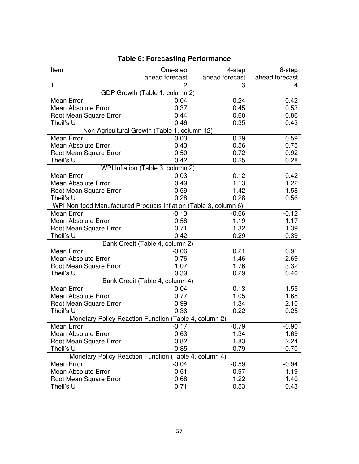|                                                                  | Table 6. Forecasting Performance  |                |                |
|------------------------------------------------------------------|-----------------------------------|----------------|----------------|
| Item                                                             | One-step                          | 4-step         | 8-step         |
|                                                                  | ahead forecast                    | ahead forecast | ahead forecast |
| 1                                                                | 2                                 | 3              | 4              |
|                                                                  | GDP Growth (Table 1, column 2)    |                |                |
| Mean Error                                                       | 0.04                              | 0.24           | 0.42           |
| <b>Mean Absolute Error</b>                                       | 0.37                              | 0.45           | 0.53           |
| Root Mean Square Error                                           | 0.44                              | 0.60           | 0.86           |
| Theil's U                                                        | 0.46                              | 0.35           | 0.43           |
| Non-Agricultural Growth (Table 1, column 12)                     |                                   |                |                |
| <b>Mean Error</b>                                                | 0.03                              | 0.29           | 0.59           |
| <b>Mean Absolute Error</b>                                       | 0.43                              | 0.56           | 0.75           |
| Root Mean Square Error                                           | 0.50                              | 0.72           | 0.92           |
| Theil's U                                                        | 0.42                              | 0.25           | 0.28           |
|                                                                  | WPI Inflation (Table 3, column 2) |                |                |
| Mean Error                                                       | $-0.03$                           | $-0.12$        | 0.42           |
| <b>Mean Absolute Error</b>                                       | 0.49                              | 1.13           | 1.22           |
| Root Mean Square Error                                           | 0.59                              | 1.42           | 1.58           |
| Theil's U                                                        | 0.28                              | 0.28           | 0.56           |
| WPI Non-food Manufactured Products Inflation (Table 3, column 6) |                                   |                |                |
| Mean Error                                                       | $-0.13$                           | $-0.66$        | $-0.12$        |
| <b>Mean Absolute Error</b>                                       | 0.58                              | 1.19           | 1.17           |
| Root Mean Square Error                                           | 0.71                              | 1.32           | 1.39           |
| Theil's U                                                        | 0.42                              | 0.29           | 0.39           |
|                                                                  | Bank Credit (Table 4, column 2)   |                |                |
| Mean Error                                                       | $-0.06$                           | 0.21           | 0.91           |
| Mean Absolute Error                                              | 0.76                              | 1.46           | 2.69           |
| Root Mean Square Error                                           | 1.07                              | 1.76           | 3.32           |
| Theil's U                                                        | 0.39                              | 0.29           | 0.40           |
|                                                                  | Bank Credit (Table 4, column 4)   |                |                |
| Mean Error                                                       | $-0.04$                           | 0.13           | 1.55           |
| <b>Mean Absolute Error</b>                                       | 0.77                              | 1.05           | 1.68           |
| Root Mean Square Error                                           | 0.99                              | 1.34           | 2.10           |
| Theil's U                                                        | 0.36                              | 0.22           | 0.25           |
| Monetary Policy Reaction Function (Table 4, column 2)            |                                   |                |                |
| Mean Error                                                       | $-0.17$                           | $-0.79$        | $-0.90$        |
| Mean Absolute Error                                              | 0.63                              | 1.34           | 1.69           |
| Root Mean Square Error                                           | 0.82                              | 1.83           | 2.24           |
| Theil's U                                                        | 0.85                              | 0.79           | 0.70           |
| Monetary Policy Reaction Function (Table 4, column 4)            |                                   |                |                |
| Mean Error                                                       | $-0.04$                           | $-0.59$        | $-0.94$        |
| <b>Mean Absolute Error</b>                                       | 0.51                              | 0.97           | 1.19           |
| Root Mean Square Error                                           | 0.68                              | 1.22           | 1.40           |
| Theil's U                                                        | 0.71                              | 0.53           | 0.43           |

# **Table 6: Forecasting Performance**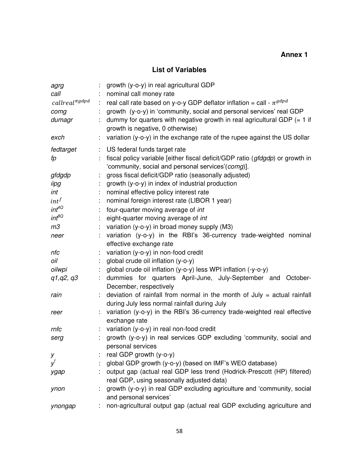# **List of Variables**

| agrg<br>call                                 |    | growth (y-o-y) in real agricultural GDP<br>nominal call money rate                                                                 |
|----------------------------------------------|----|------------------------------------------------------------------------------------------------------------------------------------|
| $call real$ <sup><math>\pi gdpd</math></sup> | ÷  | real call rate based on y-o-y GDP deflator inflation = call - $\pi^{gdpd}$                                                         |
| comg                                         |    | growth (y-o-y) in 'community, social and personal services' real GDP                                                               |
| dumagr                                       | ÷. | dummy for quarters with negative growth in real agricultural GDP $(= 1$ if<br>growth is negative, 0 otherwise)                     |
| exch                                         |    | variation (y-o-y) in the exchange rate of the rupee against the US dollar                                                          |
| fedtarget                                    | t. | US federal funds target rate                                                                                                       |
| fp                                           |    | fiscal policy variable [either fiscal deficit/GDP ratio (gfdgdp) or growth in<br>'community, social and personal services'(comg)]. |
| gfdgdp                                       |    | gross fiscal deficit/GDP ratio (seasonally adjusted)                                                                               |
| iipg                                         |    | growth (y-o-y) in index of industrial production                                                                                   |
| int                                          | t. | nominal effective policy interest rate                                                                                             |
| $int^f$                                      | ÷  | nominal foreign interest rate (LIBOR 1 year)                                                                                       |
| $int^{4Q}$                                   |    | four-quarter moving average of int                                                                                                 |
| $int^{\beta Q}$                              |    | eight-quarter moving average of int                                                                                                |
| m <sub>3</sub>                               |    | variation (y-o-y) in broad money supply (M3)                                                                                       |
| neer                                         |    | variation (y-o-y) in the RBI's 36-currency trade-weighted nominal<br>effective exchange rate                                       |
| nfc                                          |    | variation (y-o-y) in non-food credit                                                                                               |
| oil                                          |    | global crude oil inflation (y-o-y)                                                                                                 |
| oilwpi                                       |    | global crude oil inflation (y-o-y) less WPI inflation (-y-o-y)                                                                     |
| q1, q2, q3                                   |    | dummies for quarters April-June, July-September and October-<br>December, respectively                                             |
| rain                                         |    | deviation of rainfall from normal in the month of July $=$ actual rainfall<br>during July less normal rainfall during July         |
| reer                                         |    | variation (y-o-y) in the RBI's 36-currency trade-weighted real effective<br>exchange rate                                          |
| rnfc                                         | ÷. | variation (y-o-y) in real non-food credit                                                                                          |
| serg                                         |    | growth (y-o-y) in real services GDP excluding 'community, social and                                                               |
|                                              |    | personal services                                                                                                                  |
| у                                            |    | real GDP growth (y-o-y)                                                                                                            |
| V                                            |    | global GDP growth (y-o-y) (based on IMF's WEO database)                                                                            |
| ygap                                         |    | output gap (actual real GDP less trend (Hodrick-Prescott (HP) filtered)<br>real GDP, using seasonally adjusted data)               |
| ynon                                         |    | growth (y-o-y) in real GDP excluding agriculture and 'community, social<br>and personal services'                                  |
| ynongap                                      |    | non-agricultural output gap (actual real GDP excluding agriculture and                                                             |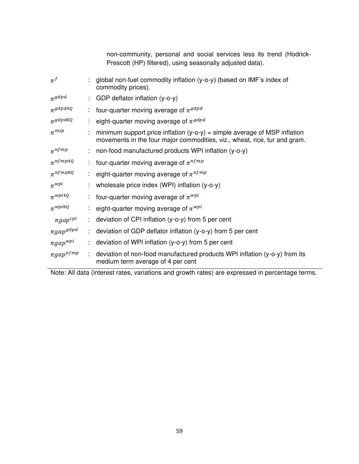|                  |   | non-community, personal and social services less its trend (Hodrick-<br>Prescott (HP) filtered), using seasonally adjusted data).                        |
|------------------|---|----------------------------------------------------------------------------------------------------------------------------------------------------------|
| $\pi^f$          |   | global non-fuel commodity inflation (y-o-y) (based on IMF's index of<br>commodity prices).                                                               |
| $\pi^{gdpd}$     |   | GDP deflator inflation (y-o-y)                                                                                                                           |
| $\pi$ gdpd4Q     | ÷ | four-quarter moving average of $\pi^{gdpd}$                                                                                                              |
| $\pi^{gdpd8Q}$   |   | eight-quarter moving average of $\pi^{gdpd}$                                                                                                             |
| $\pi^{msp}$      |   | minimum support price inflation $(y-o-y)$ = simple average of MSP inflation<br>movements in the four major commodities, viz., wheat, rice, tur and gram. |
| $\pi^{nfpnp}$    |   | non-food manufactured products WPI inflation (y-o-y)                                                                                                     |
| $\pi^{nfpq4Q}$   | ÷ | four-quarter moving average of $\pi^{nfpnp}$                                                                                                             |
| $\pi^{nfrmp8Q}$  |   | eight-quarter moving average of $\pi^{nfpnp}$                                                                                                            |
| $\pi^{wpi}$      |   | wholesale price index (WPI) inflation (y-o-y)                                                                                                            |
| $\pi^{wpi4Q}$    |   | four-quarter moving average of $\pi^{wpi}$                                                                                                               |
| $\pi^{wpi8Q}$    |   | eight-quarter moving average of $\pi^{wpi}$                                                                                                              |
| $\pi gap^{cpi}$  |   | deviation of CPI inflation (y-o-y) from 5 per cent                                                                                                       |
| $\pi gap^{gdpd}$ |   | deviation of GDP deflator inflation (y-o-y) from 5 per cent                                                                                              |
| $\pi gap^{wpi}$  |   | deviation of WPI inflation (y-o-y) from 5 per cent                                                                                                       |
| $\pi gap^{nfmp}$ |   | deviation of non-food manufactured products WPI inflation (y-o-y) from its<br>medium term average of 4 per cent                                          |

Note: All data (interest rates, variations and growth rates) are expressed in percentage terms.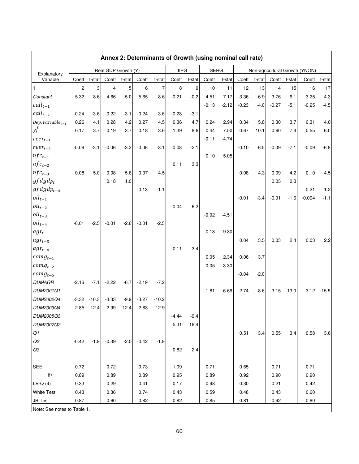|                               |                  |         |                         |             |         |         | Annex 2: Determinants of Growth (using nominal call rate) |        |             |         |         |        |         |         |                                |         |
|-------------------------------|------------------|---------|-------------------------|-------------|---------|---------|-----------------------------------------------------------|--------|-------------|---------|---------|--------|---------|---------|--------------------------------|---------|
|                               |                  |         | Real GDP Growth (Y)     |             |         |         | <b>IIPG</b>                                               |        | <b>SERG</b> |         |         |        |         |         | Non-agricultural Growth (YNON) |         |
| Explanatory<br>Variable       | Coeff t-stat     |         | Coeff                   | t-stat      | Coeff   | t-stat  | Coeff                                                     | t-stat | Coeff       | t-stat  | Coeff   | t-stat | Coeff   | t-stat  | Coeff                          | t-stat  |
| 1                             | $\boldsymbol{2}$ | 3       | $\overline{\mathbf{4}}$ | $\mathbf 5$ | 6       | 7       | $\,8\,$                                                   | 9      | 10          | 11      | 12      | 13     | 14      | 15      | 16                             | 17      |
| Constant                      | 5.32             | 8.6     | 4.66                    | 5.0         | 5.65    | 8.6     | $-0.21$                                                   | $-0.2$ | 4.51        | 7.17    | 3.36    | 6.9    | 3.76    | 6.1     | 3.25                           | 4.3     |
| $call_{t-1}$                  |                  |         |                         |             |         |         |                                                           |        | $-0.13$     | $-2.12$ | $-0.23$ | $-4.0$ | $-0.27$ | $-5.1$  | $-0.25$                        | $-4.5$  |
| $call_{t-2}$                  | $-0.24$          | $-3.6$  | $-0.22$                 | $-3.1$      | $-0.24$ | $-3.6$  | $-0.28$                                                   | $-3.1$ |             |         |         |        |         |         |                                |         |
| Dep. variable $_{t-1}$        | 0.26             | 4.1     | 0.28                    | 4.2         | 0.27    | 4.5     | 0.36                                                      | 4.7    | 0.24        | 2.94    | 0.34    | 5.8    | 0.30    | 3.7     | 0.31                           | 4.0     |
| $y_t^J$                       | 0.17             | 3.7     | 0.19                    | 3.7         | 0.18    | 3.6     | 1.39                                                      | 8.6    | 0.44        | 7.50    | 0.67    | 10.1   | 0.60    | 7.4     | 0.55                           | 6.0     |
| $reer_{t-1}$                  |                  |         |                         |             |         |         |                                                           |        | $-0.11$     | $-4.74$ |         |        |         |         |                                |         |
| $reer_{t-2}$                  | $-0.06$          | $-3.1$  | $-0.06$                 | $-3.3$      | $-0.06$ | $-3.1$  | $-0.08$                                                   | $-2.1$ |             |         | $-0.10$ | $-6.5$ | $-0.09$ | $-7.1$  | $-0.09$                        | $-6.8$  |
| $nfc_{t-1}$                   |                  |         |                         |             |         |         |                                                           |        | 0.10        | 5.05    |         |        |         |         |                                |         |
| $nfc_{t-2}$                   |                  |         |                         |             |         |         | 0.11                                                      | 3.3    |             |         |         |        |         |         |                                |         |
| $nfc_{t-3}$                   | 0.08             | 5.0     | 0.08                    | 5.6         | 0.07    | 4.5     |                                                           |        |             |         | 0.08    | 4.3    | 0.09    | 4.2     | 0.10                           | 4.5     |
| $gfdgdp_t$                    |                  |         | 0.18                    | 1.0         |         |         |                                                           |        |             |         |         |        | 0.05    | 0.3     |                                |         |
| $gfdgdp_{t-4}$                |                  |         |                         |             | $-0.13$ | $-1.1$  |                                                           |        |             |         |         |        |         |         | 0.21                           | 1.2     |
| $oil_{t-1}$                   |                  |         |                         |             |         |         |                                                           |        |             |         | $-0.01$ | $-3.4$ | $-0.01$ | $-1.6$  | $-0.004$                       | $-1.1$  |
| $oil_{t-2}$                   |                  |         |                         |             |         |         | $-0.04$                                                   | $-6.2$ |             |         |         |        |         |         |                                |         |
| $oil_{t-3}$                   |                  |         |                         |             |         |         |                                                           |        | $-0.02$     | $-4.51$ |         |        |         |         |                                |         |
| $oil_{t-4}$                   | $-0.01$          | $-2.5$  | $-0.01$                 | $-2.6$      | $-0.01$ | $-2.5$  |                                                           |        |             |         |         |        |         |         |                                |         |
| $agr_t$                       |                  |         |                         |             |         |         |                                                           |        | 0.13        | 9.30    |         |        |         |         |                                |         |
| $agr_{t-3}$                   |                  |         |                         |             |         |         |                                                           |        |             |         | 0.04    | 3.5    | 0.03    | 2.4     | 0.03                           | 2.2     |
| $agr_{t-4}$                   |                  |         |                         |             |         |         | 0.11                                                      | 3.4    |             |         |         |        |         |         |                                |         |
| $\lfloor \textit{comg}_{t-1}$ |                  |         |                         |             |         |         |                                                           |        | 0.05        | 2.34    | 0.06    | 3.7    |         |         |                                |         |
| $comp_{t-2}$                  |                  |         |                         |             |         |         |                                                           |        | $-0.05$     | $-3.30$ |         |        |         |         |                                |         |
| $comp_{t-5}$                  |                  |         |                         |             |         |         |                                                           |        |             |         | $-0.04$ | $-2.0$ |         |         |                                |         |
| <b>DUMAGR</b>                 | $-2.16$          | $-7.1$  | $-2.22$                 | $-6.7$      | $-2.19$ | $-7.2$  |                                                           |        |             |         |         |        |         |         |                                |         |
| DUM2001Q1                     |                  |         |                         |             |         |         |                                                           |        | $-1.81$     | $-6.66$ | $-2.74$ | $-8.6$ | $-3.15$ | $-13.0$ | $-3.12$                        | $-15.5$ |
| DUM2002Q4                     | $-3.32$          | $-10.3$ | $-3.33$                 | $-9.9$      | $-3.27$ | $-10.2$ |                                                           |        |             |         |         |        |         |         |                                |         |
| DUM2003Q4                     | 2.85             | 12.4    | 2.99                    | 12.4        | 2.83    | 12.9    |                                                           |        |             |         |         |        |         |         |                                |         |
| DUM2005Q3                     |                  |         |                         |             |         |         | $-4.44$                                                   | $-9.4$ |             |         |         |        |         |         |                                |         |
| DUM2007Q2                     |                  |         |                         |             |         |         | 5.31                                                      | 18.4   |             |         |         |        |         |         |                                |         |
| Q1                            |                  |         |                         |             |         |         |                                                           |        |             |         | 0.51    | 3.4    | 0.55    | 3.4     | 0.58                           | 3.6     |
| Q2                            | $-0.42$          | $-1.9$  | $-0.39$                 | $-2.0$      | $-0.42$ | $-1.9$  |                                                           |        |             |         |         |        |         |         |                                |         |
| Q3                            |                  |         |                         |             |         |         | 0.82                                                      | 2.4    |             |         |         |        |         |         |                                |         |
|                               |                  |         |                         |             |         |         |                                                           |        |             |         |         |        |         |         |                                |         |
| <b>SEE</b>                    | 0.72             |         | 0.72                    |             | 0.73    |         | 1.09                                                      |        | 0.71        |         | 0.65    |        | 0.71    |         | 0.71                           |         |
| $\overline{R}^2$              | 0.89             |         | 0.89                    |             | 0.89    |         | 0.95                                                      |        | 0.89        |         | 0.92    |        | 0.90    |         | 0.90                           |         |
| $LE-Q(4)$                     | 0.33             |         | 0.29                    |             | 0.41    |         | 0.17                                                      |        | 0.98        |         | 0.30    |        | 0.21    |         | 0.42                           |         |
| <b>White Test</b>             | 0.43             |         | 0.36                    |             | 0.74    |         | 0.43                                                      |        | 0.59        |         | 0.48    |        | 0.43    |         | 0.60                           |         |
| <b>JB Test</b>                | 0.87             |         | 0.60                    |             | 0.82    |         | 0.82                                                      |        | 0.85        |         | 0.81    |        | 0.92    |         | 0.80                           |         |
| Note: See notes to Table 1.   |                  |         |                         |             |         |         |                                                           |        |             |         |         |        |         |         |                                |         |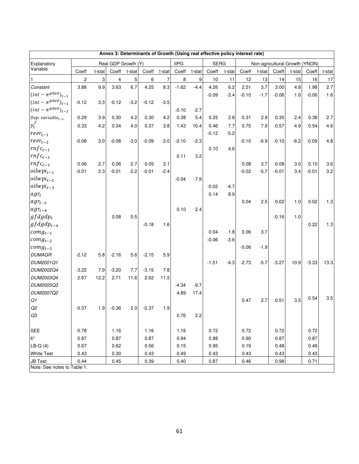| Annex 3: Determinants of Growth (Using real effective policy interest rate) |                |        |                     |        |         |        |             |        |             |        |         |        |                                |        |         |        |
|-----------------------------------------------------------------------------|----------------|--------|---------------------|--------|---------|--------|-------------|--------|-------------|--------|---------|--------|--------------------------------|--------|---------|--------|
| Explanatory                                                                 |                |        | Real GDP Growth (Y) |        |         |        | <b>IIPG</b> |        | <b>SERG</b> |        |         |        | Non-agricultural Growth (YNON) |        |         |        |
| Variable                                                                    | Coeff          | t-stat | Coeff               | t-stat | Coeff   | t-stat | Coeff       | t-stat | Coeff       | t-stat | Coeff   | t-stat | Coeff                          | t-stat | Coeff   | t-stat |
|                                                                             | $\overline{c}$ | 3      | 4                   | 5      | 6       | 7      | 8           | 9      | 10          | 11     | 12      | 13     | 14                             | 15     | 16      | 17     |
| Constant                                                                    | 3.88           | 9.9    | 3.63                | 6.7    | 4.25    | 8.3    | $-1.62$     | $-4.4$ | 4.26        | 6.2    | 2.51    | 3.7    | 3.00                           | 4.8    | 1.98    | 2.7    |
| $(int - \pi^{gdpd})_{t-1}$                                                  |                |        |                     |        |         |        |             |        | $-0.09$     | $-3.4$ | $-0.10$ | $-1.7$ | $-0.06$                        | 1.6    | $-0.06$ | 1.6    |
| $(int - \pi^{gdpd})_{t-2}$                                                  | $-0.12$        | 3.3    | $-0.12$             | $-3.2$ | $-0.12$ | $-3.5$ |             |        |             |        |         |        |                                |        |         |        |
| $(int - \pi^{gdpd})_{t-3}$                                                  |                |        |                     |        |         |        | $-0.10$     | $-2.7$ |             |        |         |        |                                |        |         |        |
| Dep. variable $_{t-1}$                                                      | 0.29           | 3.9    | 0.30                | 4.2    | 0.30    | 4.2    | 0.38        | 5.4    | 0.25        | 2.8    | 0.31    | 2.9    | 0.35                           | 2.4    | 0.38    | 2.7    |
| $y_t^f$                                                                     | 0.33           | 4.2    | 0.34                | 4.0    | 0.37    | 3.8    | 1.43        | 10.4   | 0.46        | 7.7    | 0.75    | 7.9    | 0.57                           | 4.9    | 0.54    | 4.6    |
| $reer_{t-1}$                                                                |                |        |                     |        |         |        |             |        | $-0.12$     | $-5.2$ |         |        |                                |        |         |        |
| $reer_{t-2}$                                                                | $-0.08$        | 3.0    | $-0.08$             | $-3.0$ | $-0.09$ | $-3.0$ | $-0.10$     | $-2.3$ |             |        | $-0.10$ | $-6.9$ | $-0.10$                        | $-6.2$ | $-0.09$ | 4.8    |
| $rnfc_{t-1}$                                                                |                |        |                     |        |         |        |             |        | 0.10        | 4.6    |         |        |                                |        |         |        |
| $rnfc_{t-2}$                                                                |                |        |                     |        |         |        | 0.11        | 3.2    |             |        |         |        |                                |        |         |        |
| $rnfc_{t-3}$                                                                | 0.06           | 2.7    | 0.06                | 2.7    | 0.05    | 2.1    |             |        |             |        | 0.08    | 3.7    | 0.08                           | 3.0    | 0.10    | 3.6    |
| $\delta$ oilwpi $_{t-1}$                                                    | $-0.01$        | 2.3    | $-0.01$             | $-2.2$ | $-0.01$ | $-2.4$ |             |        |             |        | $-0.02$ | $-5.7$ | -0.01                          | 3.4    | $-0.01$ | 3.2    |
| $oilwpi_{t-2}$                                                              |                |        |                     |        |         |        | $-0.04$     | $-7.9$ |             |        |         |        |                                |        |         |        |
| $\left\lceil \textit{oilwpi}_{t-3} \right\rceil$                            |                |        |                     |        |         |        |             |        | $-0.02$     | -4.7   |         |        |                                |        |         |        |
| $agr_t$                                                                     |                |        |                     |        |         |        |             |        | 0.14        | 8.9    |         |        |                                |        |         |        |
| $agr_{t-3}$                                                                 |                |        |                     |        |         |        |             |        |             |        | 0.04    | 2.5    | 0.02                           | 1.0    | 0.02    | 1.3    |
| $agr_{t-4}$                                                                 |                |        |                     |        |         |        | 0.10        | 2.4    |             |        |         |        |                                |        |         |        |
| $gfdgdp_t$                                                                  |                |        | 0.08                | 0.5    |         |        |             |        |             |        |         |        | $-0.16$                        | 1.0    |         |        |
| $gfdgdp_{t-4}$                                                              |                |        |                     |        | $-0.18$ | 1.6    |             |        |             |        |         |        |                                |        | 0.22    | 1.3    |
| $\lfloor \textit{comg}_{t-1} \rfloor$                                       |                |        |                     |        |         |        |             |        | 0.04        | 1.8    | 0.06    | 3.7    |                                |        |         |        |
| $comp_{t-2}$                                                                |                |        |                     |        |         |        |             |        | $-0.06$     | $-3.6$ |         |        |                                |        |         |        |
| $comp_{t-5}$                                                                |                |        |                     |        |         |        |             |        |             |        | $-0.06$ | $-1.9$ |                                |        |         |        |
| <b>DUMAGR</b>                                                               | $-2.12$        | 5.8    | $-2.16$             | 5.6    | $-2.15$ | 5.9    |             |        |             |        |         |        |                                |        |         |        |
| DUM2001Q1                                                                   |                |        |                     |        |         |        |             |        | $-1.51$     | $-4.3$ | $-2.73$ | $-5.7$ | $-3.27$                        | 10.9   | $-3.33$ | 13.3   |
| DUM2002Q4                                                                   | $-3.22$        | 7.9    | $-3.20$             | 7.7    | $-3.15$ | 7.8    |             |        |             |        |         |        |                                |        |         |        |
| DUM2003Q4                                                                   | 2.67           | 12.2   | 2.71                | 11.6   | 2.62    | 11.5   |             |        |             |        |         |        |                                |        |         |        |
| DUM2005Q3                                                                   |                |        |                     |        |         |        | $-4.34$     | $-9.7$ |             |        |         |        |                                |        |         |        |
| DUM2007Q2                                                                   |                |        |                     |        |         |        | 4.89        | 17.4   |             |        |         |        |                                |        |         |        |
| Q1                                                                          |                |        |                     |        |         |        |             |        |             |        | 0.47    | 2.7    | 0.51                           | 3.5    | 0.54    | 3.5    |
| Q2                                                                          | $-0.37$        | 1.9    | $-0.36$             | 2.0    | $-0.37$ | 1.9    |             |        |             |        |         |        |                                |        |         |        |
| Q3                                                                          |                |        |                     |        |         |        | 0.76        | 2.2    |             |        |         |        |                                |        |         |        |
|                                                                             |                |        |                     |        |         |        |             |        |             |        |         |        |                                |        |         |        |
| <b>SEE</b>                                                                  | 0.78           |        | 1.16                |        | 1.16    |        | 1.16        |        | 0.72        |        | 0.72    |        | 0.72                           |        | 0.72    |        |
| $\overline{\mathsf{R}}{}^2$                                                 | 0.87           |        | 0.87                |        | 0.87    |        | 0.94        |        | 0.88        |        | 0.90    |        | 0.87                           |        | 0.87    |        |
| $LB-Q(4)$                                                                   | 0.67           |        | 0.62                |        | 0.56    |        | 0.15        |        | 0.95        |        | 0.19    |        | 0.48                           |        | 0.49    |        |
| <b>White Test</b>                                                           | 0.43           |        | 0.30                |        | 0.43    |        | 0.49        |        | 0.43        |        | 0.43    |        | 0.43                           |        | 0.43    |        |
| <b>JB Test</b>                                                              | 0.44           |        | 0.45                |        | 0.39    |        | 0.40        |        | 0.87        |        | 0.46    |        | 0.98                           |        | 0.71    |        |
| Note: See notes to Table 1.                                                 |                |        |                     |        |         |        |             |        |             |        |         |        |                                |        |         |        |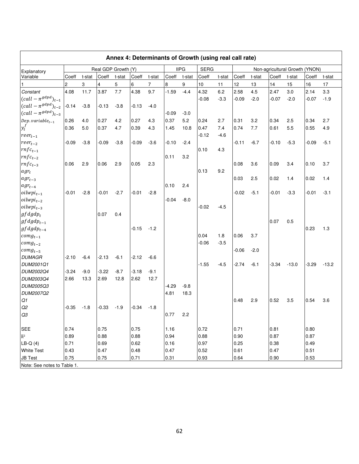|                                |                |        |         |                     |         |        |         |             | Annex 4: Determinants of Growth (using real call rate) |        |         |        |                                |         |         |         |
|--------------------------------|----------------|--------|---------|---------------------|---------|--------|---------|-------------|--------------------------------------------------------|--------|---------|--------|--------------------------------|---------|---------|---------|
| Explanatory                    |                |        |         | Real GDP Growth (Y) |         |        |         | <b>IIPG</b> | <b>SERG</b>                                            |        |         |        | Non-agricultural Growth (YNON) |         |         |         |
| Variable                       | Coeff          | t-stat | Coeff   | t-stat              | Coeff   | t-stat | Coeff   | t-stat      | Coeff                                                  | t-stat | Coeff   | t-stat | Coeff                          | t-stat  | Coeff   | t-stat  |
|                                | $\overline{2}$ | 3      | 4       | 5                   | 6       | 7      | 8       | 9           | 10                                                     | 11     | 12      | 13     | 14                             | 15      | 16      | 17      |
| Constant                       | 4.08           | 11.7   | 3.87    | 7.7                 | 4.38    | 9.7    | $-1.59$ | $-4.4$      | 4.32                                                   | 6.2    | 2.58    | 4.5    | 2.47                           | 3.0     | 2.14    | 3.3     |
| $(call - \pi^{gdpd})_{t-1}$    |                |        |         |                     |         |        |         |             | $-0.08$                                                | $-3.3$ | $-0.09$ | $-2.0$ | $-0.07$                        | $-2.0$  | $-0.07$ | $-1.9$  |
| $(call - \pi^{gdpd})_{t-2}$    | $-0.14$        | $-3.8$ | $-0.13$ | $-3.8$              | -0.13   | $-4.0$ |         |             |                                                        |        |         |        |                                |         |         |         |
| $(call - \pi^{gdpd})_{t-3}$    |                |        |         |                     |         |        | $-0.09$ | $-3.0$      |                                                        |        |         |        |                                |         |         |         |
| Dep. variable $_{t-1}$         | 0.26           | 4.0    | 0.27    | 4.2                 | 0.27    | 4.3    | 0.37    | 5.2         | 0.24                                                   | 2.7    | 0.31    | 3.2    | 0.34                           | 2.5     | 0.34    | 2.7     |
| $y_t^f$                        | 0.36           | 5.0    | 0.37    | 4.7                 | 0.39    | 4.3    | 1.45    | 10.8        | 0.47                                                   | 7.4    | 0.74    | 7.7    | 0.61                           | 5.5     | 0.55    | 4.9     |
| $reer_{t-1}$                   |                |        |         |                     |         |        |         |             | $-0.12$                                                | $-4.6$ |         |        |                                |         |         |         |
| $reer_{t-2}$                   | $-0.09$        | $-3.8$ | -0.09   | $-3.8$              | $-0.09$ | $-3.6$ | -0.10   | $-2.4$      |                                                        |        | -0.11   | $-6.7$ | $-0.10$                        | $-5.3$  | $-0.09$ | $-5.1$  |
| $\mathit{rnfc}_{t-1}$          |                |        |         |                     |         |        |         |             | 0.10                                                   | 4.3    |         |        |                                |         |         |         |
| $rnfc_{t-2}$                   |                |        |         |                     |         |        | 0.11    | 3.2         |                                                        |        |         |        |                                |         |         |         |
| $rnfc_{t-3}$                   | 0.06           | 2.9    | 0.06    | 2.9                 | 0.05    | 2.3    |         |             |                                                        |        | 0.08    | 3.6    | 0.09                           | 3.4     | 0.10    | 3.7     |
| $agr_t$                        |                |        |         |                     |         |        |         |             | 0.13                                                   | 9.2    |         |        |                                |         |         |         |
| $agr_{t-3}$                    |                |        |         |                     |         |        |         |             |                                                        |        | 0.03    | 2.5    | 0.02                           | 1.4     | 0.02    | 1.4     |
| $agr_{t-4}$                    |                |        |         |                     |         |        | 0.10    | 2.4         |                                                        |        |         |        |                                |         |         |         |
| $\delta$ <i>ilwpi</i> $_{t-1}$ | $-0.01$        | $-2.8$ | $-0.01$ | $-2.7$              | $-0.01$ | $-2.8$ |         |             |                                                        |        | $-0.02$ | $-5.1$ | -0.01                          | $-3.3$  | $-0.01$ | -3.1    |
| $\delta$ <i>ilwpi</i> $_{t-2}$ |                |        |         |                     |         |        | $-0.04$ | $-8.0$      |                                                        |        |         |        |                                |         |         |         |
| $\delta$ <i>ilwpi</i> $_{t-3}$ |                |        |         |                     |         |        |         |             | $-0.02$                                                | $-4.5$ |         |        |                                |         |         |         |
| $gfdgdp_t$                     |                |        | 0.07    | 0.4                 |         |        |         |             |                                                        |        |         |        |                                |         |         |         |
| $gfdgdp_{t-1}$                 |                |        |         |                     |         |        |         |             |                                                        |        |         |        | 0.07                           | 0.5     |         |         |
| $gfdgdp_{t-4}$                 |                |        |         |                     | $-0.15$ | $-1.2$ |         |             |                                                        |        |         |        |                                |         | 0.23    | 1.3     |
| $comp_{t-1}$                   |                |        |         |                     |         |        |         |             | 0.04                                                   | 1.8    | 0.06    | 3.7    |                                |         |         |         |
| $comp_{t-2}$                   |                |        |         |                     |         |        |         |             | $-0.06$                                                | $-3.5$ |         |        |                                |         |         |         |
| $comp_{t-5}$                   |                |        |         |                     |         |        |         |             |                                                        |        | $-0.06$ | $-2.0$ |                                |         |         |         |
| <b>DUMAGR</b>                  | -2.10          | $-6.4$ | -2.13   | $-6.1$              | -2.12   | $-6.6$ |         |             |                                                        |        |         |        |                                |         |         |         |
| DUM2001Q1                      |                |        |         |                     |         |        |         |             | -1.55                                                  | $-4.5$ | $-2.74$ | $-6.1$ | $-3.34$                        | $-13.0$ | $-3.29$ | $-13.2$ |
| DUM2002Q4                      | $-3.24$        | $-9.0$ | $-3.22$ | $-8.7$              | $-3.18$ | $-9.1$ |         |             |                                                        |        |         |        |                                |         |         |         |
| DUM2003Q4                      | 2.66           | 13.3   | 2.69    | 12.8                | 2.62    | 12.7   |         |             |                                                        |        |         |        |                                |         |         |         |
| DUM2005Q3                      |                |        |         |                     |         |        | $-4.29$ | $-9.8$      |                                                        |        |         |        |                                |         |         |         |
| DUM2007Q2                      |                |        |         |                     |         |        | 4.81    | 18.3        |                                                        |        |         |        |                                |         |         |         |
| Q1                             |                |        |         |                     |         |        |         |             |                                                        |        | 0.48    | 2.9    | 0.52                           | 3.5     | 0.54    | 3.6     |
| Q2                             | $-0.35$        | $-1.8$ | -0.33   | $-1.9$              | $-0.34$ | $-1.8$ |         |             |                                                        |        |         |        |                                |         |         |         |
| Q3                             |                |        |         |                     |         |        | 0.77    | 2.2         |                                                        |        |         |        |                                |         |         |         |
|                                |                |        |         |                     |         |        |         |             |                                                        |        |         |        |                                |         |         |         |
| <b>SEE</b>                     | 0.74           |        | 0.75    |                     | 0.75    |        | 1.16    |             | 0.72                                                   |        | 0.71    |        | 0.81                           |         | 0.80    |         |
| $\overline{\mathrm{R}}{}^{2}$  | 0.89           |        | 0.88    |                     | 0.88    |        | 0.94    |             | 0.88                                                   |        | 0.90    |        | 0.87                           |         | 0.87    |         |
| $LB-Q(4)$                      | 0.71           |        | 0.69    |                     | 0.62    |        | 0.16    |             | 0.97                                                   |        | 0.25    |        | 0.38                           |         | 0.49    |         |
| <b>White Test</b>              | 0.43           |        | 0.47    |                     | 0.48    |        | 0.47    |             | 0.52                                                   |        | 0.61    |        | 0.47                           |         | 0.51    |         |
| <b>JB Test</b>                 | 0.75           |        | 0.75    |                     | 0.71    |        | 0.31    |             | 0.93                                                   |        | 0.64    |        | 0.90                           |         | 0.53    |         |
| Note: See notes to Table 1.    |                |        |         |                     |         |        |         |             |                                                        |        |         |        |                                |         |         |         |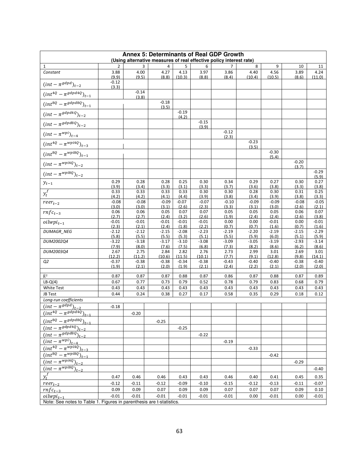| Annex 5: Determinants of Real GDP Growth                             |                        |                  |                  |                  |                  |                                                                     |                  |                  |                  |                  |
|----------------------------------------------------------------------|------------------------|------------------|------------------|------------------|------------------|---------------------------------------------------------------------|------------------|------------------|------------------|------------------|
|                                                                      |                        |                  |                  |                  |                  | (Using alternative measures of real effective policy interest rate) |                  | 9                |                  |                  |
| 1<br>Constant                                                        | $\overline{2}$<br>3.88 | 3<br>4.00        | 4<br>4.27        | 5<br>4.13        | 6<br>3.97        | 3.86                                                                | 8<br>4.40        | 4.56             | 10<br>3.89       | 11<br>4.24       |
|                                                                      | (9.9)                  | (9.5)            | (8.8)            | (10.3)           | (8.8)            | (8.4)                                                               | (10.4)           | (10.5)           | (8.6)            | (11.0)           |
| $(int - \pi^{gdpd})_{t-2}$                                           | $-0.12$<br>(3.3)       |                  |                  |                  |                  |                                                                     |                  |                  |                  |                  |
| $(int^{4Q}-\pi^{gdpd4Q})_{t-1}$                                      |                        | $-0.14$<br>(3.8) |                  |                  |                  |                                                                     |                  |                  |                  |                  |
| $(int^{8Q} - \pi^{gdp d8Q})_{t-1}$                                   |                        |                  | $-0.18$<br>(3.5) |                  |                  |                                                                     |                  |                  |                  |                  |
| $(int-\pi^{gdpd4Q})_{t-2}$                                           |                        |                  |                  | $-0.19$<br>(4.2) |                  |                                                                     |                  |                  |                  |                  |
| $(int-\pi^{gdp d8Q})_{t-2}$                                          |                        |                  |                  |                  | $-0.15$<br>(3.9) |                                                                     |                  |                  |                  |                  |
| $(int - \pi^{wpi})_{t-4}$                                            |                        |                  |                  |                  |                  | $-0.12$<br>(2.3)                                                    |                  |                  |                  |                  |
| $(int^{4Q} - \pi^{wpi4Q})_{t-3}$                                     |                        |                  |                  |                  |                  |                                                                     | $-0.23$<br>(3.5) |                  |                  |                  |
| $(int^{8Q} - \pi^{wp8Q})_{t-1}$                                      |                        |                  |                  |                  |                  |                                                                     |                  | $-0.30$<br>(5.4) |                  |                  |
| $(int-\pi^{wpi4Q})_{t-2}$                                            |                        |                  |                  |                  |                  |                                                                     |                  |                  | $-0.20$<br>(3.7) |                  |
| $(int - \pi^{wp18Q})_{t-2}$                                          |                        |                  |                  |                  |                  |                                                                     |                  |                  |                  | $-0.29$<br>(5.9) |
| $y_{t-1}$                                                            | 0.29<br>(3.9)          | 0.28<br>(3.4)    | 0.28<br>(3.3)    | 0.25<br>(3.1)    | 0.30<br>(3.3)    | 0.34<br>(3.7)                                                       | 0.29<br>(3.6)    | 0.27<br>(3.8)    | 0.30<br>(3.3)    | 0.27<br>(3.8)    |
| $y_t^f$                                                              | 0.33<br>(4.2)          | 0.33<br>(4.2)    | 0.33<br>(4.1)    | 0.33<br>(4.4)    | 0.30<br>(3.9)    | 0.30<br>(3.8)                                                       | 0.28<br>(3.4)    | 0.30<br>(3.9)    | 0.31<br>(3.8)    | 0.25<br>(3.3)    |
| $reer_{t-2}$                                                         | $-0.08$                | $-0.08$          | $-0.09$          | $-0.07$<br>(2.6) | $-0.07$          | $-0.10$<br>(3.3)                                                    | $-0.09$          | $-0.09$<br>(3.0) | $-0.08$          | $-0.05$          |
| $\overline{rnfc_{t-3}}$                                              | (3.0)<br>0.06          | (3.0)<br>0.06    | (3.1)<br>0.05    | 0.07             | (2.3)<br>0.07    | 0.05                                                                | (3.1)<br>0.05    | 0.05             | (2.6)<br>0.06    | (2.1)<br>0.07    |
| $\overline{oilwpi_{t-1}}$                                            | (2.7)<br>$-0.01$       | (2.7)<br>$-0.01$ | (2.4)<br>$-0.01$ | (3.2)<br>$-0.01$ | (2.6)<br>$-0.01$ | (1.9)<br>0.00                                                       | (2.4)<br>0.00    | (2.4)<br>$-0.01$ | (2.6)<br>0.00    | (3.8)<br>-0.01   |
| DUMAGR_NEG                                                           | (2.3)<br>$-2.12$       | (2.1)<br>$-2.12$ | (2.4)<br>$-2.15$ | (1.8)<br>$-2.08$ | (2.2)<br>$-2.23$ | (0.7)<br>$-2.19$                                                    | (0.7)<br>$-2.20$ | (1.6)<br>$-2.19$ | (0.7)<br>$-2.15$ | (1.6)<br>$-2.29$ |
|                                                                      | (5.8)                  | (5.5)            | (5.5)            | (5.3)            | (5.1)            | (5.5)                                                               | (5.9)            | (6.0)            | (5.1)            | (5.9)            |
| DUM2002Q4                                                            | $-3.22$                | $-3.18$          | $-3.17$          | $-3.10$          | $-3.08$          | $-3.09$                                                             | $-3.05$          | $-3.19$          | $-2.93$          | $-3.14$          |
| DUM2003Q4                                                            | (7.9)<br>2.67          | (8.0)<br>2.75    | (7.6)<br>2.84    | (7.5)<br>2.82    | (6.8)<br>2.76    | (7.3)<br>2.73                                                       | (8.2)<br>2.99    | (8.6)<br>3.01    | (6.2)<br>2.69    | (8.6)<br>3.01    |
|                                                                      | (12.2)                 | (11.2)           | (10.6)           | (11.5)           | (10.1)           | (7.7)                                                               | (9.1)            | (12.8)           | (9.8)            | (14.1)           |
| Q2                                                                   | $-0.37$                | $-0.38$          | $-0.38$          | $-0.34$          | $-0.38$          | $-0.43$                                                             | $-0.40$          | $-0.40$          | $-0.38$          | $-0.40$          |
|                                                                      | (1.9)                  | (2.1)            | (2.0)            | (1.9)            | (2.1)            | (2.4)                                                               | (2.2)            | (2.1)            | (2.0)            | (2.0)            |
| $\overline{R}^2$                                                     | 0.87                   | 0.87             | 0.87             | 0.88             | 0.87             | 0.86                                                                | 0.87             | 0.88             | 0.87             | 0.89             |
| $LB-Q(4)$                                                            | 0.67                   | 0.77             | 0.73             | 0.79             | 0.52             | 0.78                                                                | 0.79             | 0.83             | 0.68             | 0.79             |
| White Test                                                           | 0.43                   | 0.43             | 0.43             | 0.43             | 0.43             | 0.43                                                                | 0.43             | 0.43             | 0.43             | 0.43             |
| JB Test                                                              | 0.44                   | 0.24             | 0.38             | 0.27             | 0.17             | 0.58                                                                | 0.35             | 0.29             | 0.18             | 0.12             |
| Long-run coefficients                                                |                        |                  |                  |                  |                  |                                                                     |                  |                  |                  |                  |
| $\frac{(int - \pi^{gdpd})_{t-2}}{(int^{4Q} - \pi^{gdpd4Q})}$         | $-0.18$                |                  |                  |                  |                  |                                                                     |                  |                  |                  |                  |
| $Jt-1$                                                               |                        | $-0.20$          |                  |                  |                  |                                                                     |                  |                  |                  |                  |
| $(int^{8Q} - \pi^{gdp d8Q})_{t-1}$                                   |                        |                  | $-0.25$          |                  |                  |                                                                     |                  |                  |                  |                  |
| $(int - \pi^{gdpd4Q})_{t=2})$                                        |                        |                  |                  | $-0.25$          |                  |                                                                     |                  |                  |                  |                  |
| $(int - \pi^{gdp d8Q})_{t=2})$                                       |                        |                  |                  |                  | $-0.22$          |                                                                     |                  |                  |                  |                  |
| $(int - \pi^{wpi})_{t-4}$                                            |                        |                  |                  |                  |                  | $-0.19$                                                             |                  |                  |                  |                  |
| $(int^{4Q} - \pi^{wpi4Q})_{t=3})$                                    |                        |                  |                  |                  |                  |                                                                     | $-0.33$          |                  |                  |                  |
| $(int^{8Q} - \pi^{wp18Q})_{t-1}$                                     |                        |                  |                  |                  |                  |                                                                     |                  | $-0.42$          |                  |                  |
| $\frac{1}{(int - \pi^{wp4Q})_{t-2}}$                                 |                        |                  |                  |                  |                  |                                                                     |                  |                  | $-0.29$          |                  |
| $\frac{1}{(int - \pi^{wp18Q})_{t=2}}$                                |                        |                  |                  |                  |                  |                                                                     |                  |                  |                  | $-0.40$          |
| $y_t^f$                                                              | 0.47                   | 0.46             | 0.46             | 0.43             | 0.43             | 0.46                                                                | 0.40             | 0.41             | 0.45             | 0.35             |
| $reer_{t-2}$                                                         | $-0.12$                | $-0.11$          | $-0.12$          | $-0.09$          | $-0.10$          | $-0.15$                                                             | $-0.12$          | $-0.13$          | $-0.11$          | $-0.07$          |
| $rnfc_{t-3}$                                                         | 0.09                   | 0.09             | 0.07             | 0.09             | 0.09             | 0.07                                                                | 0.07             | 0.07             | 0.09             | 0.10             |
| $\it oilwpi_{t-1}$                                                   | $-0.01$                | $-0.01$          | $-0.01$          | $-0.01$          | $-0.01$          | $-0.01$                                                             | 0.00             | $-0.01$          | 0.00             | -0.01            |
| Note: See notes to Table 1. Figures in parenthesis are t-statistics. |                        |                  |                  |                  |                  |                                                                     |                  |                  |                  |                  |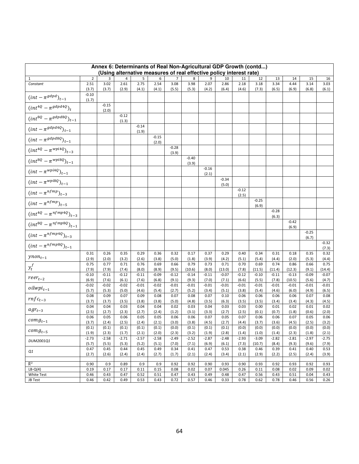| Annex 6: Determinants of Real Non-Agricultural GDP Growth (contd)<br>(Using alternative measures of real effective policy interest rate) |                  |                  |                  |                  |                  |                  |                   |                  |                   |                  |                   |                   |                   |                  |                   |
|------------------------------------------------------------------------------------------------------------------------------------------|------------------|------------------|------------------|------------------|------------------|------------------|-------------------|------------------|-------------------|------------------|-------------------|-------------------|-------------------|------------------|-------------------|
| 1                                                                                                                                        | $\overline{2}$   | 3                | 4                | 5                | 6                | 7                | 8                 | 9                | 10                | 11               | 12                | 13                | 14                | 15               | 16                |
| Constant                                                                                                                                 | 2.51             | 3.02             | 2.61             | 2.75             | 2.54             | 3.08             | 3.98              | 2.07             | 2.86              | 2.18             | 3.18              | 3.34              | 4.44              | 3.14             | 3.03              |
|                                                                                                                                          | (3.7)            | (3.7)            | (2.9)            | (4.1)            | (4.1)            | (5.5)            | (5.3)             | (4.2)            | (6.4)             | (4.6)            | (7.3)             | (6.5)             | (6.9)             | (6.8)            | (6.1)             |
| $(int - \pi^{gdpd})_{t-1}$                                                                                                               | $-0.10$<br>(1.7) |                  |                  |                  |                  |                  |                   |                  |                   |                  |                   |                   |                   |                  |                   |
| $(int^{4Q} - \pi^{gdpd4Q})_t$                                                                                                            |                  | $-0.15$<br>(2.0) |                  |                  |                  |                  |                   |                  |                   |                  |                   |                   |                   |                  |                   |
| $(int^{8Q} - \pi^{gdp d8Q})_{t-1}$                                                                                                       |                  |                  | $-0.12$<br>(1.3) |                  |                  |                  |                   |                  |                   |                  |                   |                   |                   |                  |                   |
| $(int-\pi^{gdpd4Q})_{t-1}$                                                                                                               |                  |                  |                  | $-0.14$<br>(1.9) |                  |                  |                   |                  |                   |                  |                   |                   |                   |                  |                   |
| $(int - \pi^{gdp d8Q})_{t-1}$                                                                                                            |                  |                  |                  |                  | $-0.15$<br>(2.0) |                  |                   |                  |                   |                  |                   |                   |                   |                  |                   |
| $(int^{4Q} - \pi^{wpi4Q})_{t-3}$                                                                                                         |                  |                  |                  |                  |                  | $-0.28$<br>(3.9) |                   |                  |                   |                  |                   |                   |                   |                  |                   |
| $(int^{8Q} - \pi^{wpi8Q})_{t-1}$                                                                                                         |                  |                  |                  |                  |                  |                  | $-0.40$<br>(3.9)  |                  |                   |                  |                   |                   |                   |                  |                   |
| $(int - \pi^{wpi4Q})_{t-1}$                                                                                                              |                  |                  |                  |                  |                  |                  |                   | $-0.16$<br>(2.1) |                   |                  |                   |                   |                   |                  |                   |
| $(int-\pi^{wpi8Q})_{t-1}$                                                                                                                |                  |                  |                  |                  |                  |                  |                   |                  | $-0.34$<br>(5.0)  |                  |                   |                   |                   |                  |                   |
| $(int - \pi^{nfmp})_{t-3}$                                                                                                               |                  |                  |                  |                  |                  |                  |                   |                  |                   | $-0.12$<br>(2.5) |                   |                   |                   |                  |                   |
| $(int - \pi^{nfmp})_{t-5}$                                                                                                               |                  |                  |                  |                  |                  |                  |                   |                  |                   |                  | $-0.25$<br>(6.9)  |                   |                   |                  |                   |
| $(int^{4Q} - \pi^{nfmp4Q})_{t-3}$                                                                                                        |                  |                  |                  |                  |                  |                  |                   |                  |                   |                  |                   | $-0.28$<br>(6.3)  |                   |                  |                   |
| $(int^{8Q} - \pi^{nfmp8Q})_{t-1}$                                                                                                        |                  |                  |                  |                  |                  |                  |                   |                  |                   |                  |                   |                   | $-0.42$<br>(6.9)  |                  |                   |
| $(int - \pi^{nfmp4Q})_{t-3}$                                                                                                             |                  |                  |                  |                  |                  |                  |                   |                  |                   |                  |                   |                   |                   | $-0.25$<br>(6.7) |                   |
| $(int - \pi^{nfmp8Q})_{t-1}$                                                                                                             |                  |                  |                  |                  |                  |                  |                   |                  |                   |                  |                   |                   |                   |                  | $-0.32$<br>(7.3)  |
| $y non_{t-1}$                                                                                                                            | 0.31<br>(2.9)    | 0.26<br>(2.0)    | 0.35<br>(3.2)    | 0.29<br>(2.6)    | 0.36<br>(3.8)    | 0.32<br>(5.0)    | 0.17<br>(1.8)     | 0.37<br>(3.9)    | 0.29<br>(4.2)     | 0.40<br>(5.1)    | 0.34<br>(5.4)     | 0.31<br>(4.4)     | 0.18<br>(2.0)     | 0.35<br>(5.3)    | 0.32<br>(4.4)     |
| $y_t^f$                                                                                                                                  | 0.75             | 0.77             | 0.71             | 0.76             | 0.69             | 0.66             | 0.79              | 0.73             | 0.71              | 0.70             | 0.69              | 0.74              | 0.86              | 0.66             | 0.75              |
|                                                                                                                                          | (7.9)<br>$-0.10$ | (7.9)<br>$-0.11$ | (7.4)<br>$-0.12$ | (8.0)<br>$-0.11$ | (8.9)<br>$-0.09$ | (9.5)<br>$-0.12$ | (10.6)<br>$-0.14$ | (8.0)<br>$-0.11$ | (13.0)<br>$-0.07$ | (7.8)<br>$-0.12$ | (11.5)<br>$-0.10$ | (11.4)<br>$-0.11$ | (12.3)<br>$-0.13$ | (9.1)<br>$-0.09$ | (14.4)<br>$-0.07$ |
| $reer_{t-2}$                                                                                                                             | (6.9)            | (7.6)            | (6.1)            | (7.6)            | (6.8)            | (9.1)            | (9.3)             | (7.0)            | (7.1)             | (6.6)            | (5.5)             | (7.8)             | (10.5)            | (5.6)            | (4.7)             |
| $\it oilwpi_{t-1}$                                                                                                                       | $-0.02$          | $-0.02$          | $-0.02$          | $-0.01$          | $-0.02$          | $-0.01$          | $-0.01$           | $-0.01$          | $-0.01$           | $-0.01$          | $-0.01$           | $-0.01$           | $-0.01$           | $-0.01$          | $-0.01$           |
|                                                                                                                                          | (5.7)<br>0.08    | (5.3)<br>0.09    | (5.0)<br>0.07    | (4.6)<br>0.09    | (5.4)<br>0.08    | (2.7)<br>0.07    | (5.2)<br>0.08     | (3.4)<br>0.07    | (5.1)<br>0.10     | (3.8)<br>0.06    | (5.4)<br>0.06     | (4.6)<br>0.06     | (6.0)<br>0.06     | (4.9)<br>0.07    | (6.5)<br>0.08     |
| $rnfc_{t-3}$                                                                                                                             | (3.7)            | (3.7)            | (3.5)            | (3.8)            | (3.8)            | (5.0)            | (4.8)             | (3.5)            | (6.3)             | (3.5)            | (3.5)             | (3.4)             | (3.4)             | (4.3)            | (4.5)             |
| $agr_{t-3}$                                                                                                                              | 0.04<br>(2.5)    | 0.04<br>(2.7)    | 0.03<br>(2.3)    | 0.04<br>(2.7)    | 0.04<br>(2.4)    | 0.02<br>(1.2)    | 0.03<br>(3.1)     | 0.04<br>(3.3)    | 0.03<br>(2.7)     | 0.03<br>(2.5)    | 0.00<br>(0.1)     | 0.01<br>(0.7)     | 0.02<br>(1.8)     | 0.01<br>(0.6)    | 0.02<br>(2.0)     |
| $comp_{t-1}$                                                                                                                             | 0.06<br>(3.7)    | 0.05<br>(2.4)    | 0.06<br>(2.5)    | 0.05<br>(2.4)    | 0.05<br>(2.1)    | 0.06<br>(3.0)    | 0.06<br>(3.8)     | 0.07<br>(4.5)    | 0.05<br>(2.7)     | 0.07<br>(4.4)    | 0.06<br>(3.7)     | 0.06<br>(3.6)     | 0.07<br>(4.5)     | 0.05<br>(2.5)    | 0.06<br>(3.2)     |
|                                                                                                                                          | (0.1)            | (0.1)            | (0.1)            | (0.1)            | (0.1)            | (0.0)            | (0.1)             | (0.1)            | (0.1)             | (0.0)            | (0.0)             | (0.0)             | (0.0)             | (0.0)            | (0.0)             |
| $comp_{t-5}$                                                                                                                             | (1.9)            | (2.3)            | (1.7)            | (2.1)            | (2.0)            | (2.3)            | (3.2)             | (1.9)            | (2.8)             | (1.4)            | (1.0)             | (1.4)             | (2.3)             | (1.8)            | (2.1)             |
| DUM2001Q1                                                                                                                                | $-2.73$<br>(5.7) | $-2.58$<br>(5.5) | $-2.71$<br>(5.3) | $-2.57$<br>(5.2) | $-2.58$<br>(5.1) | $-2.49$<br>(7.0) | $-2.52$<br>(7.1)  | $-2.87$<br>(6.9) | $-2.48$<br>(6.1)  | $-2.93$<br>(7.3) | $-3.09$<br>(10.7) | $-2.82$<br>(8.4)  | $-2.81$<br>(9.3)  | $-2.97$<br>(9.6) | $-2.75$<br>(7.9)  |
| Q1                                                                                                                                       | 0.47<br>(2.7)    | 0.45<br>(2.6)    | 0.44<br>(2.4)    | 0.45<br>(2.4)    | 0.49<br>(2.7)    | 0.34<br>(1.7)    | 0.41<br>(2.1)     | 0.47<br>(2.4)    | 0.53<br>(3.4)     | 0.38<br>(2.1)    | 0.46<br>(2.9)     | 0.39<br>(2.2)     | 0.41<br>(2.5)     | 0.40<br>(2.4)    | 0.53<br>(3.9)     |
|                                                                                                                                          |                  |                  |                  |                  |                  |                  |                   |                  |                   |                  |                   |                   |                   |                  |                   |
| $\overline{R}^2$                                                                                                                         | 0.90             | 0.9              | 0.89             | 0.9              | 0.9              | 0.92             | 0.92              | 0.90             | 0.93              | 0.90             | 0.93              | 0.92              | 0.93              | 0.92             | 0.93              |
| $LB-Q(4)$<br>White Test                                                                                                                  | 0.19<br>0.46     | 0.17<br>0.43     | 0.17<br>0.47     | 0.11<br>0.52     | 0.15<br>0.51     | 0.08<br>0.47     | 0.02<br>0.43      | 0.07<br>0.49     | 0.045<br>0.48     | 0.26<br>0.47     | 0.11<br>0.56      | 0.08<br>0.43      | 0.02<br>0.51      | 0.09<br>0.04     | 0.02<br>0.43      |
| JB Test                                                                                                                                  | 0.46             | 0.42             | 0.49             | 0.53             | 0.43             | 0.72             | 0.57              | 0.46             | 0.33              | 0.78             | 0.62              | 0.78              | 0.46              | 0.56             | 0.26              |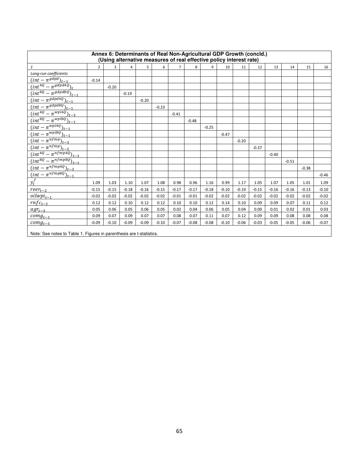| Annex 6: Determinants of Real Non-Agricultural GDP Growth (concld.)<br>(Using alternative measures of real effective policy interest rate)                                                                                                                                                                                                                                                                      |                |              |         |         |         |                |         |         |         |         |         |         |         |         |         |
|-----------------------------------------------------------------------------------------------------------------------------------------------------------------------------------------------------------------------------------------------------------------------------------------------------------------------------------------------------------------------------------------------------------------|----------------|--------------|---------|---------|---------|----------------|---------|---------|---------|---------|---------|---------|---------|---------|---------|
| $\mathbf{1}$                                                                                                                                                                                                                                                                                                                                                                                                    | $\overline{2}$ | $\mathbf{a}$ | 4       | 5       | 6       | $\overline{7}$ | 8       | q       | 10      | 11      | 12      | 13      | 14      | 15      | 16      |
| Long-run coefficients                                                                                                                                                                                                                                                                                                                                                                                           |                |              |         |         |         |                |         |         |         |         |         |         |         |         |         |
| $\frac{(int - \pi^{gdpd})_{t-1}}{(int^{4Q} - \pi^{gdpd4Q})_t}$                                                                                                                                                                                                                                                                                                                                                  | $-0.14$        |              |         |         |         |                |         |         |         |         |         |         |         |         |         |
|                                                                                                                                                                                                                                                                                                                                                                                                                 |                | $-0.20$      |         |         |         |                |         |         |         |         |         |         |         |         |         |
| $\overline{(int^{8Q} - \pi^{gdp d8Q})_{t-1}}$                                                                                                                                                                                                                                                                                                                                                                   |                |              | $-0.19$ |         |         |                |         |         |         |         |         |         |         |         |         |
| $\frac{(int - \pi^{gdpd4Q})_{t-1}}{(int - \pi^{gdpd8Q})_{t-1}}$<br>$(int^{4Q} - \pi^{wpidq})_{t-3}$                                                                                                                                                                                                                                                                                                             |                |              |         | $-0.20$ |         |                |         |         |         |         |         |         |         |         |         |
|                                                                                                                                                                                                                                                                                                                                                                                                                 |                |              |         |         | $-0.23$ |                |         |         |         |         |         |         |         |         |         |
|                                                                                                                                                                                                                                                                                                                                                                                                                 |                |              |         |         |         | $-0.41$        |         |         |         |         |         |         |         |         |         |
|                                                                                                                                                                                                                                                                                                                                                                                                                 |                |              |         |         |         |                | $-0.48$ |         |         |         |         |         |         |         |         |
|                                                                                                                                                                                                                                                                                                                                                                                                                 |                |              |         |         |         |                |         | $-0.25$ |         |         |         |         |         |         |         |
|                                                                                                                                                                                                                                                                                                                                                                                                                 |                |              |         |         |         |                |         |         | $-0.47$ |         |         |         |         |         |         |
|                                                                                                                                                                                                                                                                                                                                                                                                                 |                |              |         |         |         |                |         |         |         | $-0.20$ |         |         |         |         |         |
|                                                                                                                                                                                                                                                                                                                                                                                                                 |                |              |         |         |         |                |         |         |         |         | $-0.37$ |         |         |         |         |
|                                                                                                                                                                                                                                                                                                                                                                                                                 |                |              |         |         |         |                |         |         |         |         |         | $-0.40$ |         |         |         |
|                                                                                                                                                                                                                                                                                                                                                                                                                 |                |              |         |         |         |                |         |         |         |         |         |         | $-0.51$ |         |         |
|                                                                                                                                                                                                                                                                                                                                                                                                                 |                |              |         |         |         |                |         |         |         |         |         |         |         | $-0.38$ |         |
| $\frac{(int^{4Q} - \pi^{wp_{PW}})_{t=3}}{(int - \pi^{wp_{H}})_{t=1}} \ \frac{(int - \pi^{wp_{H}})_{t=1}}{(int - \pi^{mp_{H}})_{t=1}} \ \frac{(int - \pi^{np_{H}})_{t=3}}{(int - \pi^{n_{H}})_{t=3}} \ \frac{(int - \pi^{n_{H}})_{t=5}}{(int - \pi^{n_{H}})_{t=3}} \ \frac{(int - \pi^{n_{H}})_{t=3}}{(int - \pi^{n_{H}})_{t=3}} \ \frac{(int - \pi^{n_{H}})_{t=3}}{(int - \pi^{n_{H}})_{t=3}} \ \frac{(int - \$ |                |              |         |         |         |                |         |         |         |         |         |         |         |         | $-0.46$ |
| $y_t^f$                                                                                                                                                                                                                                                                                                                                                                                                         | 1.09           | 1.03         | 1.10    | 1.07    | 1.08    | 0.98           | 0.96    | 1.16    | 0.99    | 1.17    | 1.05    | 1.07    | 1.05    | 1.01    | 1.09    |
| $reer_{t-2}$                                                                                                                                                                                                                                                                                                                                                                                                    | $-0.15$        | $-0.15$      | $-0.18$ | $-0.16$ | $-0.15$ | $-0.17$        | $-0.17$ | $-0.18$ | $-0.10$ | $-0.19$ | $-0.15$ | $-0.16$ | $-0.16$ | $-0.13$ | $-0.10$ |
| $\delta$ <i>oilwpi</i> $_{t-1}$                                                                                                                                                                                                                                                                                                                                                                                 | $-0.02$        | $-0.02$      | $-0.02$ | $-0.02$ | $-0.02$ | $-0.01$        | $-0.01$ | $-0.02$ | $-0.02$ | $-0.02$ | $-0.02$ | $-0.02$ | $-0.02$ | $-0.02$ | $-0.02$ |
| $rnfc_{t-3}$                                                                                                                                                                                                                                                                                                                                                                                                    | 0.12           | 0.12         | 0.10    | 0.12    | 0.12    | 0.10           | 0.10    | 0.12    | 0.14    | 0.10    | 0.09    | 0.09    | 0.07    | 0.11    | 0.12    |
| $agr_{t-3}$                                                                                                                                                                                                                                                                                                                                                                                                     | 0.05           | 0.06         | 0.05    | 0.06    | 0.05    | 0.02           | 0.04    | 0.06    | 0.05    | 0.04    | 0.00    | 0.01    | 0.02    | 0.01    | 0.03    |
| $comp_{t-1}$                                                                                                                                                                                                                                                                                                                                                                                                    | 0.09           | 0.07         | 0.09    | 0.07    | 0.07    | 0.08           | 0.07    | 0.11    | 0.07    | 0.12    | 0.09    | 0.09    | 0.08    | 0.08    | 0.08    |
| $comp_{t-5}$                                                                                                                                                                                                                                                                                                                                                                                                    | $-0.09$        | $-0.10$      | $-0.09$ | $-0.09$ | $-0.10$ | $-0.07$        | $-0.08$ | $-0.08$ | $-0.10$ | $-0.06$ | $-0.03$ | $-0.05$ | $-0.05$ | $-0.06$ | $-0.07$ |
| Note: See notes to Table 1. Figures in parenthesis are t-statistics.                                                                                                                                                                                                                                                                                                                                            |                |              |         |         |         |                |         |         |         |         |         |         |         |         |         |